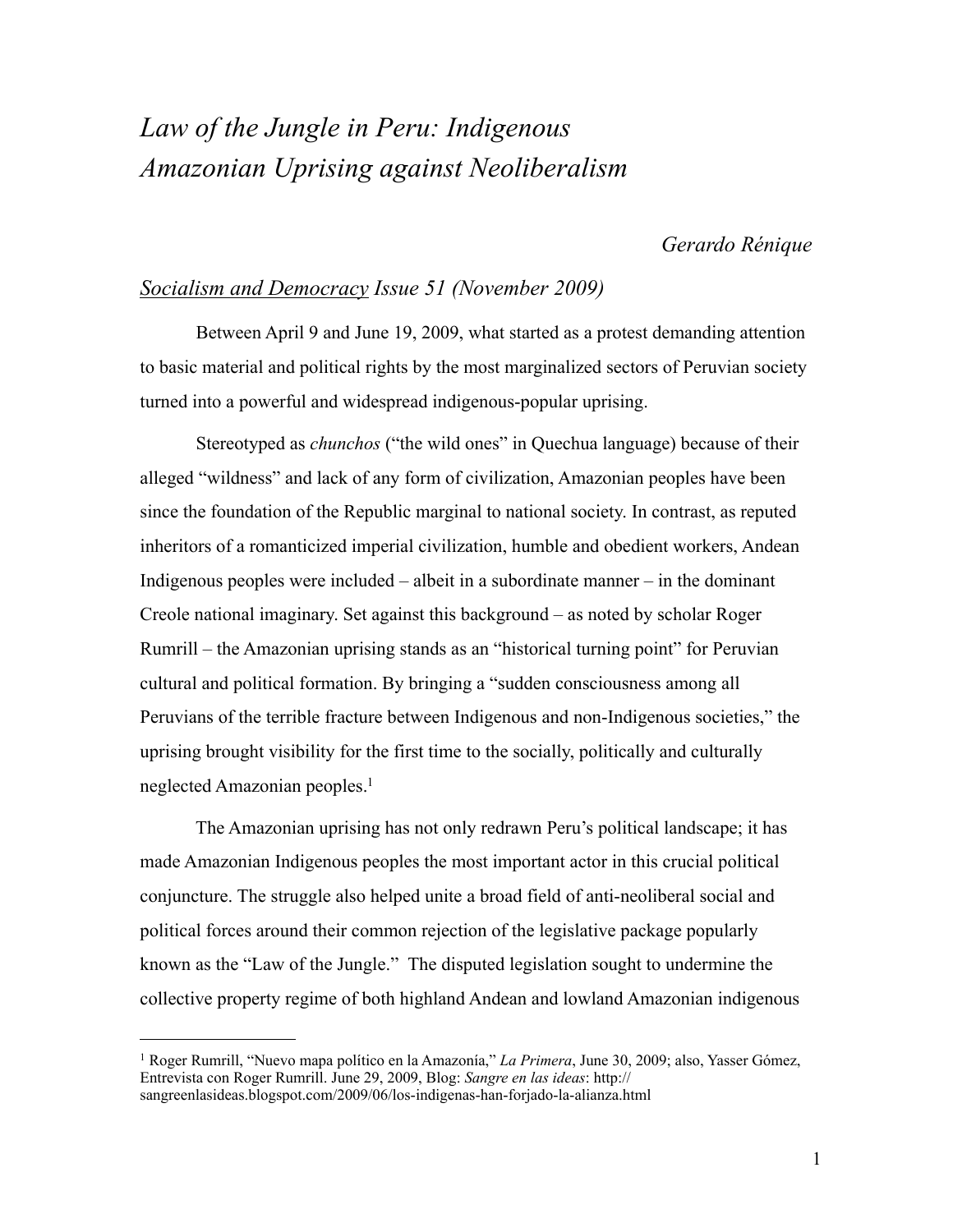# *Law of the Jungle in Peru: Indigenous Amazonian Uprising against Neoliberalism*

## *Gerardo Rénique*

## *Socialism and Democracy Issue 51 (November 2009)*

Between April 9 and June 19, 2009, what started as a protest demanding attention to basic material and political rights by the most marginalized sectors of Peruvian society turned into a powerful and widespread indigenous-popular uprising.

Stereotyped as *chunchos* ("the wild ones" in Quechua language) because of their alleged "wildness" and lack of any form of civilization, Amazonian peoples have been since the foundation of the Republic marginal to national society. In contrast, as reputed inheritors of a romanticized imperial civilization, humble and obedient workers, Andean Indigenous peoples were included – albeit in a subordinate manner – in the dominant Creole national imaginary. Set against this background – as noted by scholar Roger Rumrill – the Amazonian uprising stands as an "historical turning point" for Peruvian cultural and political formation. By bringing a "sudden consciousness among all Peruvians of the terrible fracture between Indigenous and non-Indigenous societies," the uprising brought visibility for the first time to the socially, politically and culturally neglected Amazonian peoples.<sup>1</sup>

 The Amazonian uprising has not only redrawn Peru's political landscape; it has made Amazonian Indigenous peoples the most important actor in this crucial political conjuncture. The struggle also helped unite a broad field of anti-neoliberal social and political forces around their common rejection of the legislative package popularly known as the "Law of the Jungle." The disputed legislation sought to undermine the collective property regime of both highland Andean and lowland Amazonian indigenous

<span id="page-0-0"></span><sup>1</sup> Roger Rumrill, "Nuevo mapa político en la Amazonía," *La Primera*, June 30, 2009; also, Yasser Gómez, Entrevista con Roger Rumrill. June 29, 2009, Blog: *Sangre en las ideas*: [http://](http://sangreenlasideas.blogspot.com/2009/06/los-indigenas-han-forjado-la-alianza.html) [sangreenlasideas.blogspot.com/2009/06/los-indigenas-han-forjado-la-alianza.html](http://sangreenlasideas.blogspot.com/2009/06/los-indigenas-han-forjado-la-alianza.html)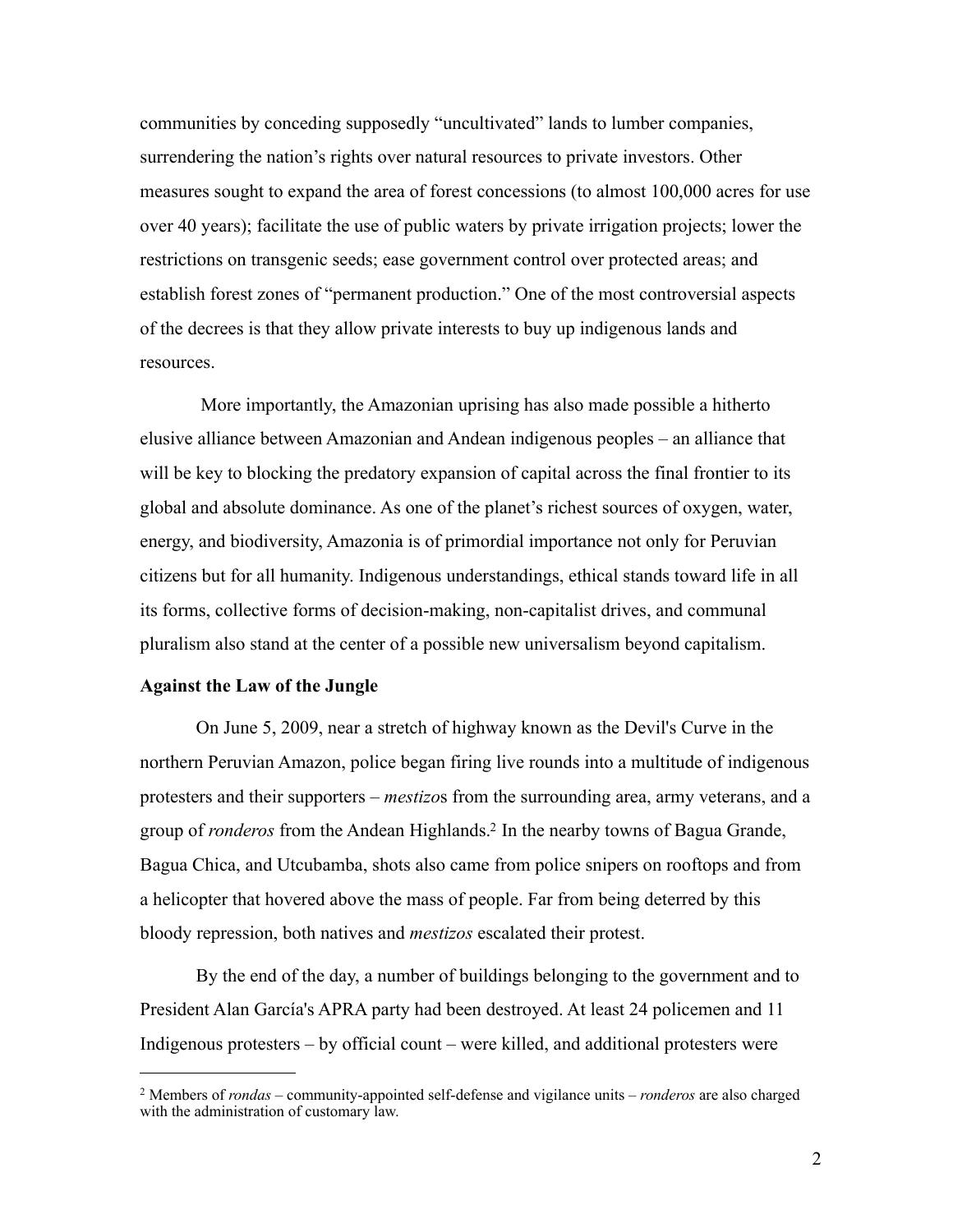communities by conceding supposedly "uncultivated" lands to lumber companies, surrendering the nation's rights over natural resources to private investors. Other measures sought to expand the area of forest concessions (to almost 100,000 acres for use over 40 years); facilitate the use of public waters by private irrigation projects; lower the restrictions on transgenic seeds; ease government control over protected areas; and establish forest zones of "permanent production." One of the most controversial aspects of the decrees is that they allow private interests to buy up indigenous lands and resources.

 More importantly, the Amazonian uprising has also made possible a hitherto elusive alliance between Amazonian and Andean indigenous peoples – an alliance that will be key to blocking the predatory expansion of capital across the final frontier to its global and absolute dominance. As one of the planet's richest sources of oxygen, water, energy, and biodiversity, Amazonia is of primordial importance not only for Peruvian citizens but for all humanity. Indigenous understandings, ethical stands toward life in all its forms, collective forms of decision-making, non-capitalist drives, and communal pluralism also stand at the center of a possible new universalism beyond capitalism.

### **Against the Law of the Jungle**

 On June 5, 2009, near a stretch of highway known as the Devil's Curve in the northern Peruvian Amazon, police began firing live rounds into a multitude of indigenous protesters and their supporters – *mestizo*s from the surrounding area, army veterans, and a group of *ronderos* from the Andean Highlands[.2](#page-1-0) In the nearby towns of Bagua Grande, Bagua Chica, and Utcubamba, shots also came from police snipers on rooftops and from a helicopter that hovered above the mass of people. Far from being deterred by this bloody repression, both natives and *mestizos* escalated their protest.

By the end of the day, a number of buildings belonging to the government and to President Alan García's APRA party had been destroyed. At least 24 policemen and 11 Indigenous protesters – by official count – were killed, and additional protesters were

<span id="page-1-0"></span><sup>2</sup> Members of *rondas* – community-appointed self-defense and vigilance units – *ronderos* are also charged with the administration of customary law.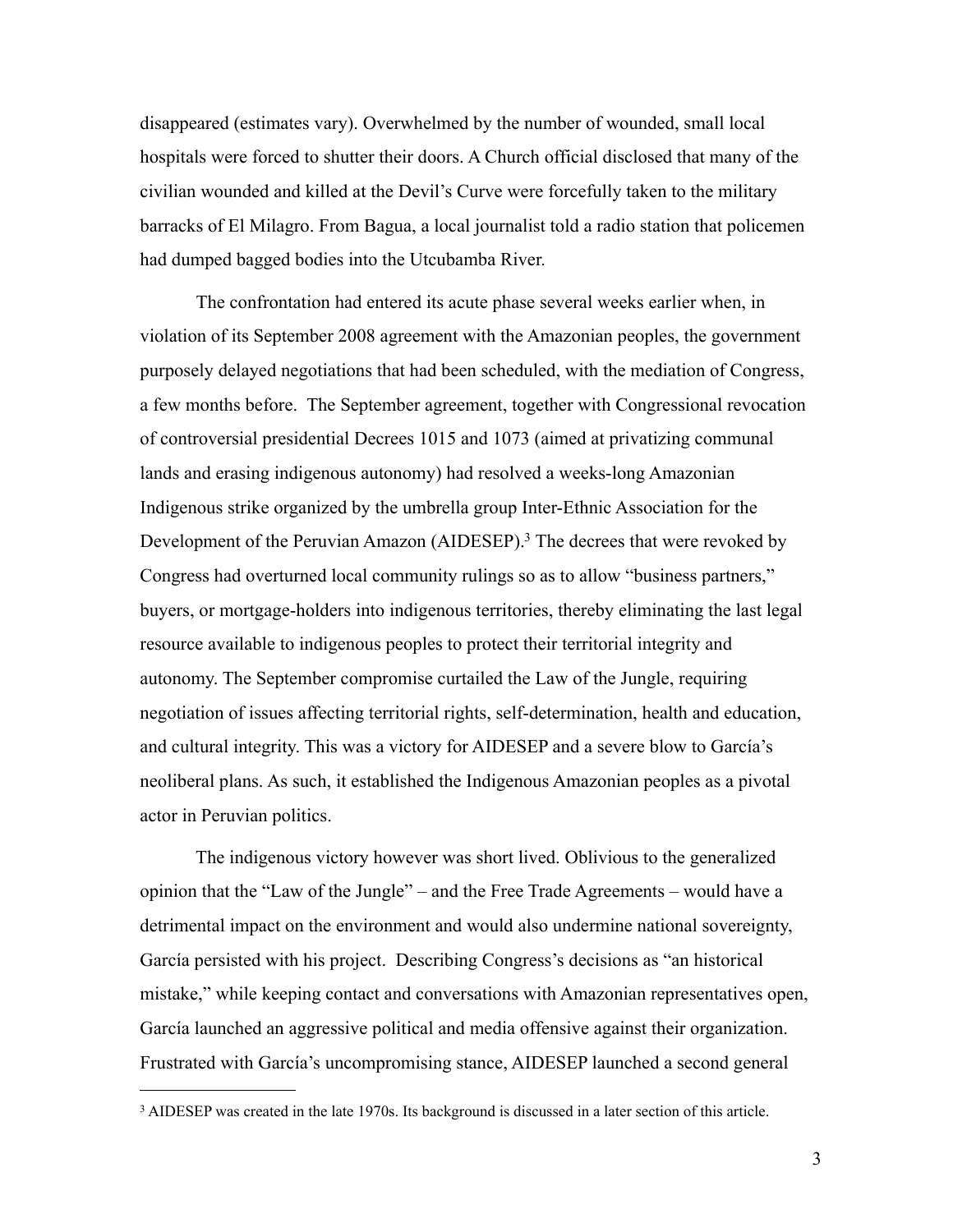disappeared (estimates vary). Overwhelmed by the number of wounded, small local hospitals were forced to shutter their doors. A Church official disclosed that many of the civilian wounded and killed at the Devil's Curve were forcefully taken to the military barracks of El Milagro. From Bagua, a local journalist told a radio station that policemen had dumped bagged bodies into the Utcubamba River.

The confrontation had entered its acute phase several weeks earlier when, in violation of its September 2008 agreement with the Amazonian peoples, the government purposely delayed negotiations that had been scheduled, with the mediation of Congress, a few months before. The September agreement, together with Congressional revocation of controversial presidential Decrees 1015 and 1073 (aimed at privatizing communal lands and erasing indigenous autonomy) had resolved a weeks-long Amazonian Indigenous strike organized by the umbrella group Inter-Ethnic Association for the Development of the Peruvian Amazon (AIDESEP).<sup>3</sup> The decrees that were revoked by Congress had overturned local community rulings so as to allow "business partners," buyers, or mortgage-holders into indigenous territories, thereby eliminating the last legal resource available to indigenous peoples to protect their territorial integrity and autonomy. The September compromise curtailed the Law of the Jungle, requiring negotiation of issues affecting territorial rights, self-determination, health and education, and cultural integrity. This was a victory for AIDESEP and a severe blow to García's neoliberal plans. As such, it established the Indigenous Amazonian peoples as a pivotal actor in Peruvian politics.

 The indigenous victory however was short lived. Oblivious to the generalized opinion that the "Law of the Jungle" – and the Free Trade Agreements – would have a detrimental impact on the environment and would also undermine national sovereignty, García persisted with his project. Describing Congress's decisions as "an historical mistake," while keeping contact and conversations with Amazonian representatives open, García launched an aggressive political and media offensive against their organization. Frustrated with García's uncompromising stance, AIDESEP launched a second general

<span id="page-2-0"></span><sup>&</sup>lt;sup>3</sup> AIDESEP was created in the late 1970s. Its background is discussed in a later section of this article.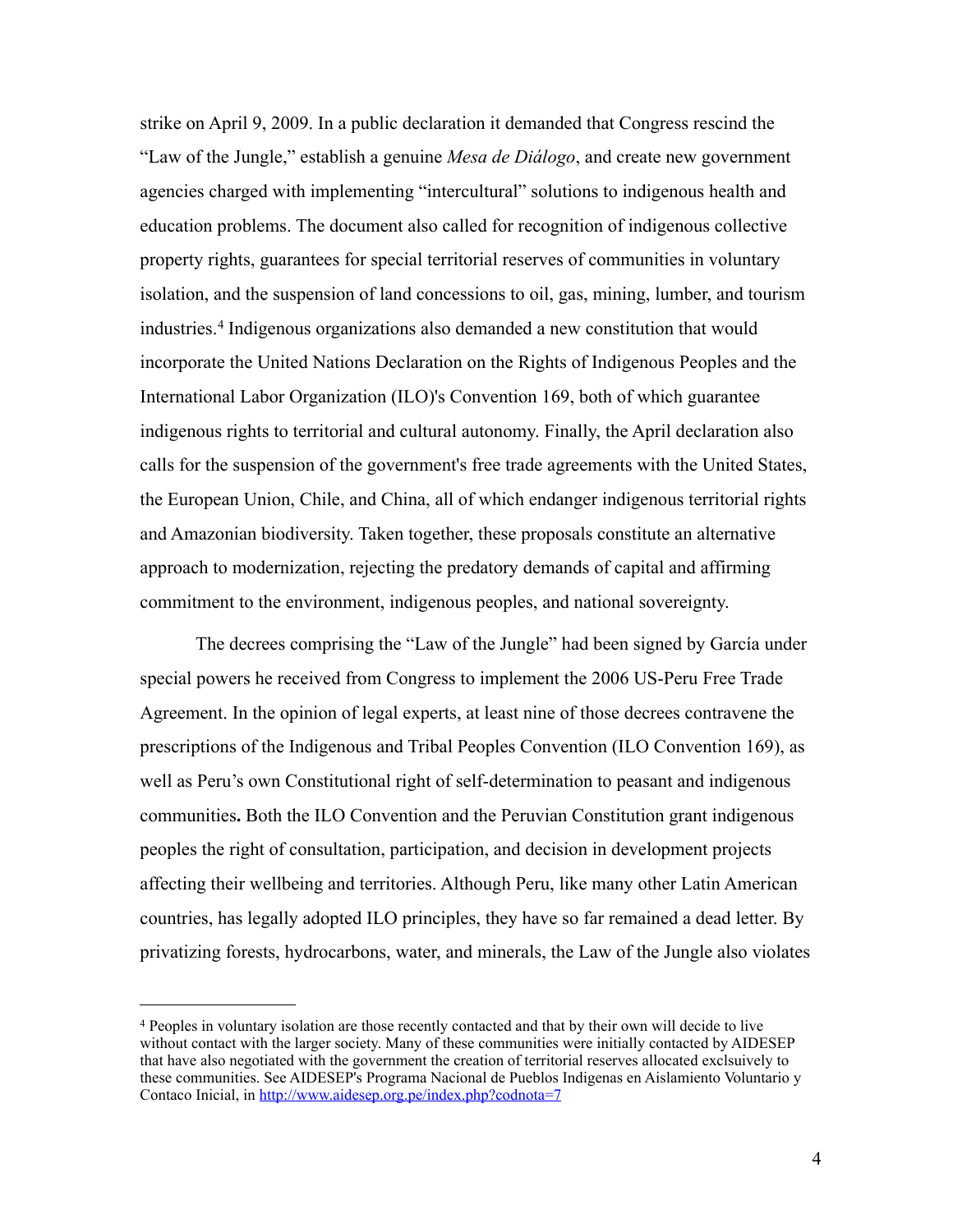strike on April 9, 2009. In a public declaration it demanded that Congress rescind the "Law of the Jungle," establish a genuine *Mesa de Diálogo*, and create new government agencies charged with implementing "intercultural" solutions to indigenous health and education problems. The document also called for recognition of indigenous collective property rights, guarantees for special territorial reserves of communities in voluntary isolation, and the suspension of land concessions to oil, gas, mining, lumber, and tourism industries.[4](#page-3-0) Indigenous organizations also demanded a new constitution that would incorporate the United Nations Declaration on the Rights of Indigenous Peoples and the International Labor Organization (ILO)'s Convention 169, both of which guarantee indigenous rights to territorial and cultural autonomy. Finally, the April declaration also calls for the suspension of the government's free trade agreements with the United States, the European Union, Chile, and China, all of which endanger indigenous territorial rights and Amazonian biodiversity. Taken together, these proposals constitute an alternative approach to modernization, rejecting the predatory demands of capital and affirming commitment to the environment, indigenous peoples, and national sovereignty.

 The decrees comprising the "Law of the Jungle" had been signed by García under special powers he received from Congress to implement the 2006 US-Peru Free Trade Agreement. In the opinion of legal experts, at least nine of those decrees contravene the prescriptions of the Indigenous and Tribal Peoples Convention (ILO Convention 169), as well as Peru's own Constitutional right of self-determination to peasant and indigenous communities**.** Both the ILO Convention and the Peruvian Constitution grant indigenous peoples the right of consultation, participation, and decision in development projects affecting their wellbeing and territories. Although Peru, like many other Latin American countries, has legally adopted ILO principles, they have so far remained a dead letter. By privatizing forests, hydrocarbons, water, and minerals, the Law of the Jungle also violates

<span id="page-3-0"></span><sup>4</sup> Peoples in voluntary isolation are those recently contacted and that by their own will decide to live without contact with the larger society. Many of these communities were initially contacted by AIDESEP that have also negotiated with the government the creation of territorial reserves allocated exclsuively to these communities. See AIDESEP's Programa Nacional de Pueblos Indigenas en Aislamiento Voluntario y Contaco Inicial, in <http://www.aidesep.org.pe/index.php?codnota=7>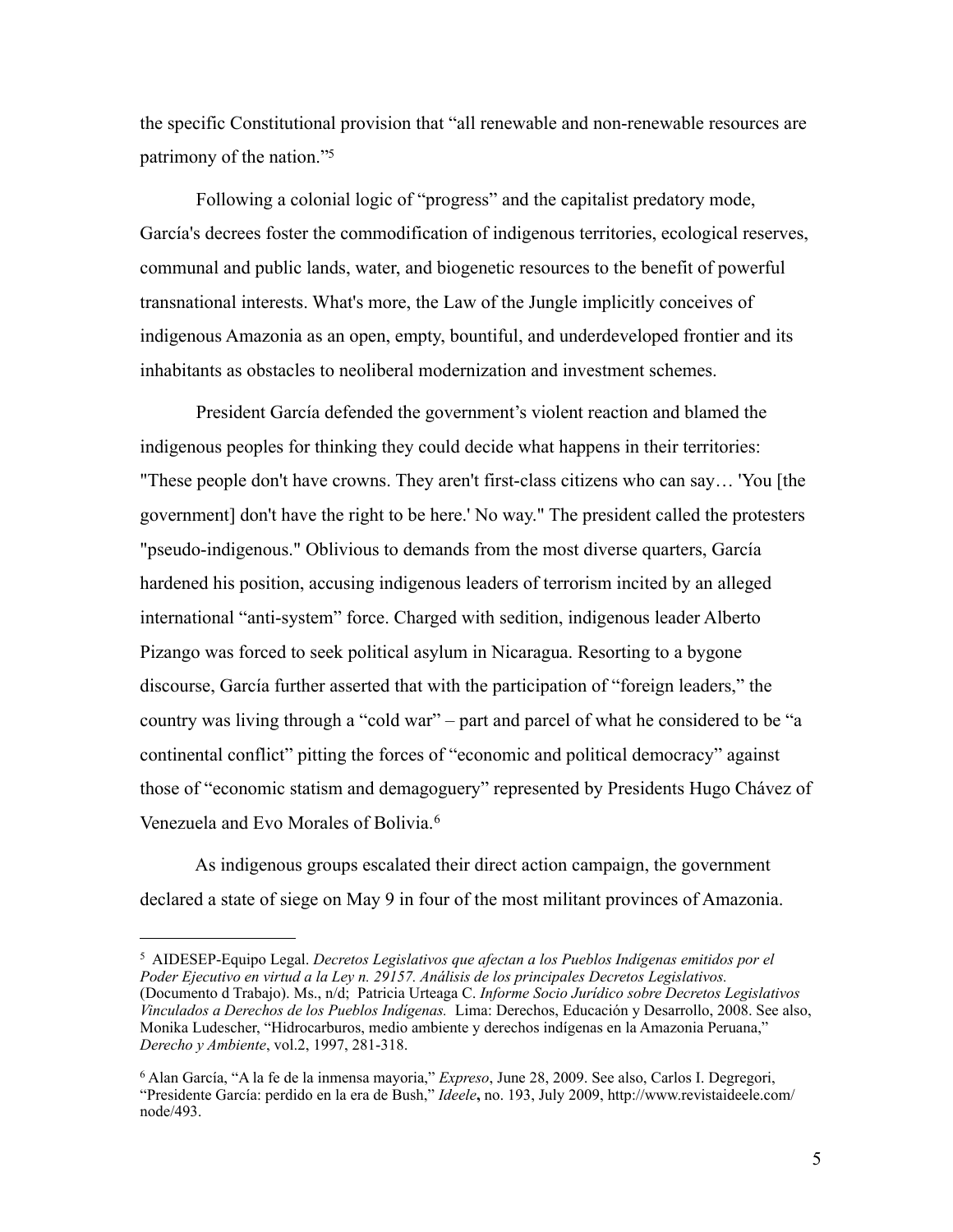the specific Constitutional provision that "all renewable and non-renewable resources are patrimony of the nation.["5](#page-4-0)

 Following a colonial logic of "progress" and the capitalist predatory mode, García's decrees foster the commodification of indigenous territories, ecological reserves, communal and public lands, water, and biogenetic resources to the benefit of powerful transnational interests. What's more, the Law of the Jungle implicitly conceives of indigenous Amazonia as an open, empty, bountiful, and underdeveloped frontier and its inhabitants as obstacles to neoliberal modernization and investment schemes.

President García defended the government's violent reaction and blamed the indigenous peoples for thinking they could decide what happens in their territories: "These people don't have crowns. They aren't first-class citizens who can say… 'You [the government] don't have the right to be here.' No way." The president called the protesters "pseudo-indigenous." Oblivious to demands from the most diverse quarters, García hardened his position, accusing indigenous leaders of terrorism incited by an alleged international "anti-system" force. Charged with sedition, indigenous leader Alberto Pizango was forced to seek political asylum in Nicaragua. Resorting to a bygone discourse, García further asserted that with the participation of "foreign leaders," the country was living through a "cold war" – part and parcel of what he considered to be "a continental conflict" pitting the forces of "economic and political democracy" against those of "economic statism and demagoguery" represented by Presidents Hugo Chávez of Venezuela and Evo Morales of Bolivia.[6](#page-4-1)

 As indigenous groups escalated their direct action campaign, the government declared a state of siege on May 9 in four of the most militant provinces of Amazonia.

<span id="page-4-0"></span><sup>5</sup> AIDESEP-Equipo Legal. *Decretos Legislativos que afectan a los Pueblos Indígenas emitidos por el Poder Ejecutivo en virtud a la Ley n. 29157. Análisis de los principales Decretos Legislativos.* (Documento d Trabajo). Ms., n/d; Patricia Urteaga C. *Informe Socio Jurídico sobre Decretos Legislativos Vinculados a Derechos de los Pueblos Indígenas.* Lima: Derechos, Educación y Desarrollo, 2008. See also, Monika Ludescher, "Hidrocarburos, medio ambiente y derechos indígenas en la Amazonia Peruana," *Derecho y Ambiente*, vol.2, 1997, 281-318.

<span id="page-4-1"></span><sup>6</sup> Alan García, "A la fe de la inmensa mayoria," *Expreso*, June 28, 2009. See also, Carlos I. Degregori, "Presidente García: perdido en la era de Bush," *Ideele***,** no. 193, July 2009, [http://www.revistaideele.com/](http://www.revistaideele.com/node/493) [node/493](http://www.revistaideele.com/node/493).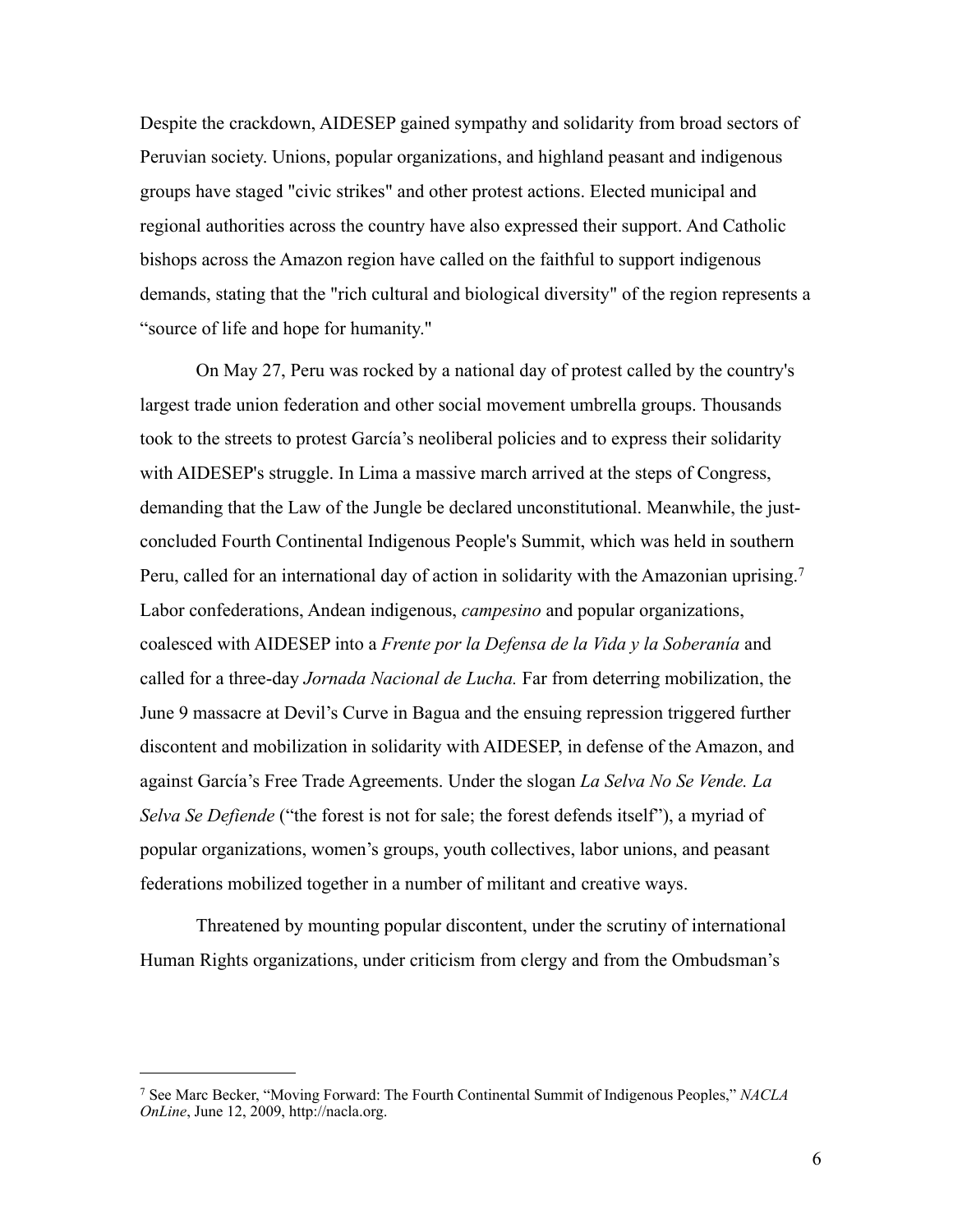Despite the crackdown, AIDESEP gained sympathy and solidarity from broad sectors of Peruvian society. Unions, popular organizations, and highland peasant and indigenous groups have staged "civic strikes" and other protest actions. Elected municipal and regional authorities across the country have also expressed their support. And Catholic bishops across the Amazon region have called on the faithful to support indigenous demands, stating that the "rich cultural and biological diversity" of the region represents a "source of life and hope for humanity."

 On May 27, Peru was rocked by a national day of protest called by the country's largest trade union federation and other social movement umbrella groups. Thousands took to the streets to protest García's neoliberal policies and to express their solidarity with AIDESEP's struggle. In Lima a massive march arrived at the steps of Congress, demanding that the Law of the Jungle be declared unconstitutional. Meanwhile, the justconcluded Fourth Continental Indigenous People's Summit, which was held in southern Peru, called for an international day of action in solidarity with the Amazonian uprising.[7](#page-5-0) Labor confederations, Andean indigenous, *campesino* and popular organizations, coalesced with AIDESEP into a *Frente por la Defensa de la Vida y la Soberanía* and called for a three-day *Jornada Nacional de Lucha.* Far from deterring mobilization, the June 9 massacre at Devil's Curve in Bagua and the ensuing repression triggered further discontent and mobilization in solidarity with AIDESEP, in defense of the Amazon, and against García's Free Trade Agreements. Under the slogan *La Selva No Se Vende. La Selva Se Defiende* ("the forest is not for sale; the forest defends itself"), a myriad of popular organizations, women's groups, youth collectives, labor unions, and peasant federations mobilized together in a number of militant and creative ways.

Threatened by mounting popular discontent, under the scrutiny of international Human Rights organizations, under criticism from clergy and from the Ombudsman's

<span id="page-5-0"></span><sup>7</sup> See Marc Becker, "Moving Forward: The Fourth Continental Summit of Indigenous Peoples," *NACLA OnLine*, June 12, 2009, http://nacla.org.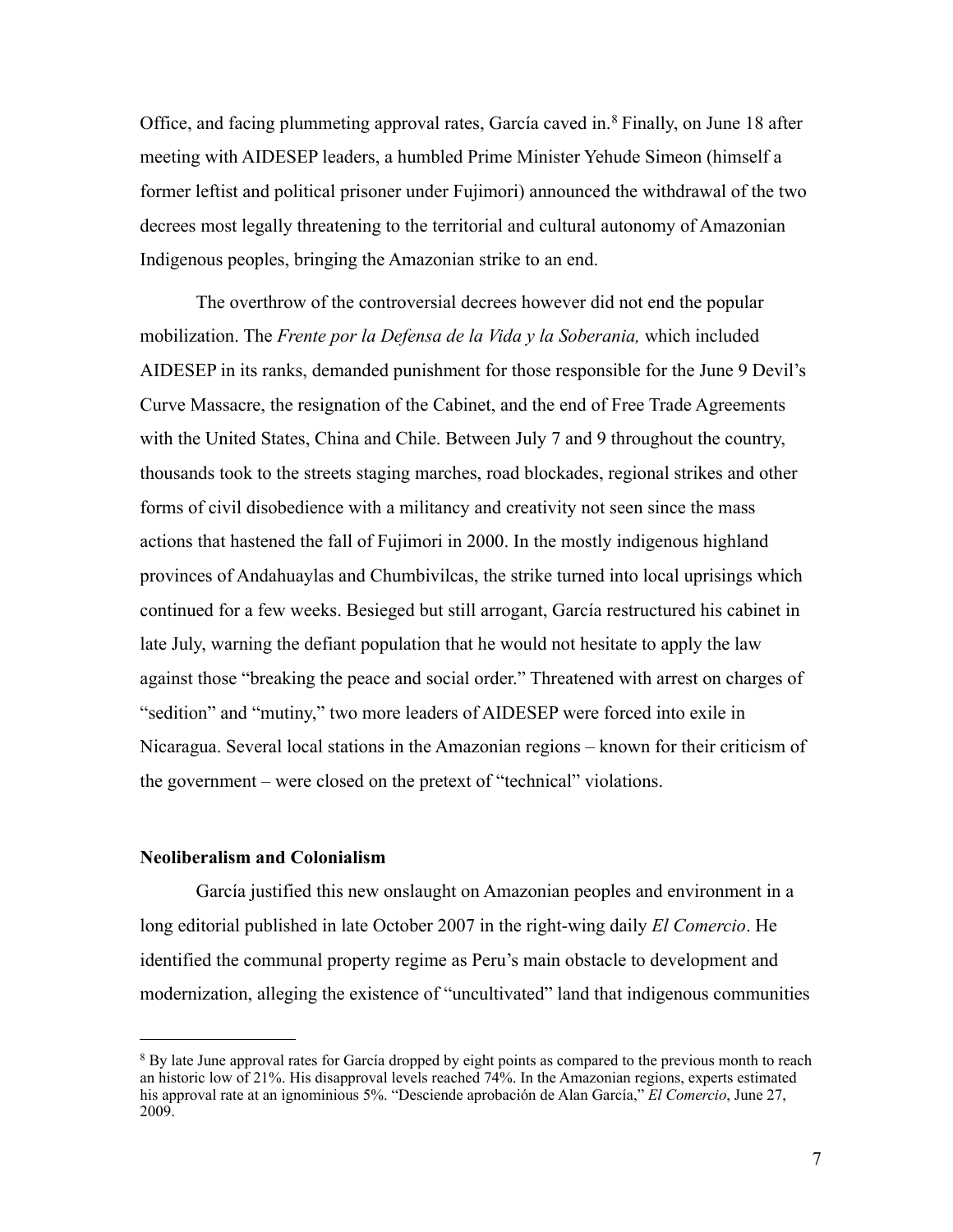Office, and facing plummeting approval rates, García caved in.[8](#page-6-0) Finally, on June 18 after meeting with AIDESEP leaders, a humbled Prime Minister Yehude Simeon (himself a former leftist and political prisoner under Fujimori) announced the withdrawal of the two decrees most legally threatening to the territorial and cultural autonomy of Amazonian Indigenous peoples, bringing the Amazonian strike to an end.

The overthrow of the controversial decrees however did not end the popular mobilization. The *Frente por la Defensa de la Vida y la Soberania,* which included AIDESEP in its ranks, demanded punishment for those responsible for the June 9 Devil's Curve Massacre, the resignation of the Cabinet, and the end of Free Trade Agreements with the United States, China and Chile. Between July 7 and 9 throughout the country, thousands took to the streets staging marches, road blockades, regional strikes and other forms of civil disobedience with a militancy and creativity not seen since the mass actions that hastened the fall of Fujimori in 2000. In the mostly indigenous highland provinces of Andahuaylas and Chumbivilcas, the strike turned into local uprisings which continued for a few weeks. Besieged but still arrogant, García restructured his cabinet in late July, warning the defiant population that he would not hesitate to apply the law against those "breaking the peace and social order." Threatened with arrest on charges of "sedition" and "mutiny," two more leaders of AIDESEP were forced into exile in Nicaragua. Several local stations in the Amazonian regions – known for their criticism of the government – were closed on the pretext of "technical" violations.

## **Neoliberalism and Colonialism**

 García justified this new onslaught on Amazonian peoples and environment in a long editorial published in late October 2007 in the right-wing daily *El Comercio*. He identified the communal property regime as Peru's main obstacle to development and modernization, alleging the existence of "uncultivated" land that indigenous communities

<span id="page-6-0"></span><sup>&</sup>lt;sup>8</sup> By late June approval rates for García dropped by eight points as compared to the previous month to reach an historic low of 21%. His disapproval levels reached 74%. In the Amazonian regions, experts estimated his approval rate at an ignominious 5%. "Desciende aprobación de Alan García," *El Comercio*, June 27, 2009.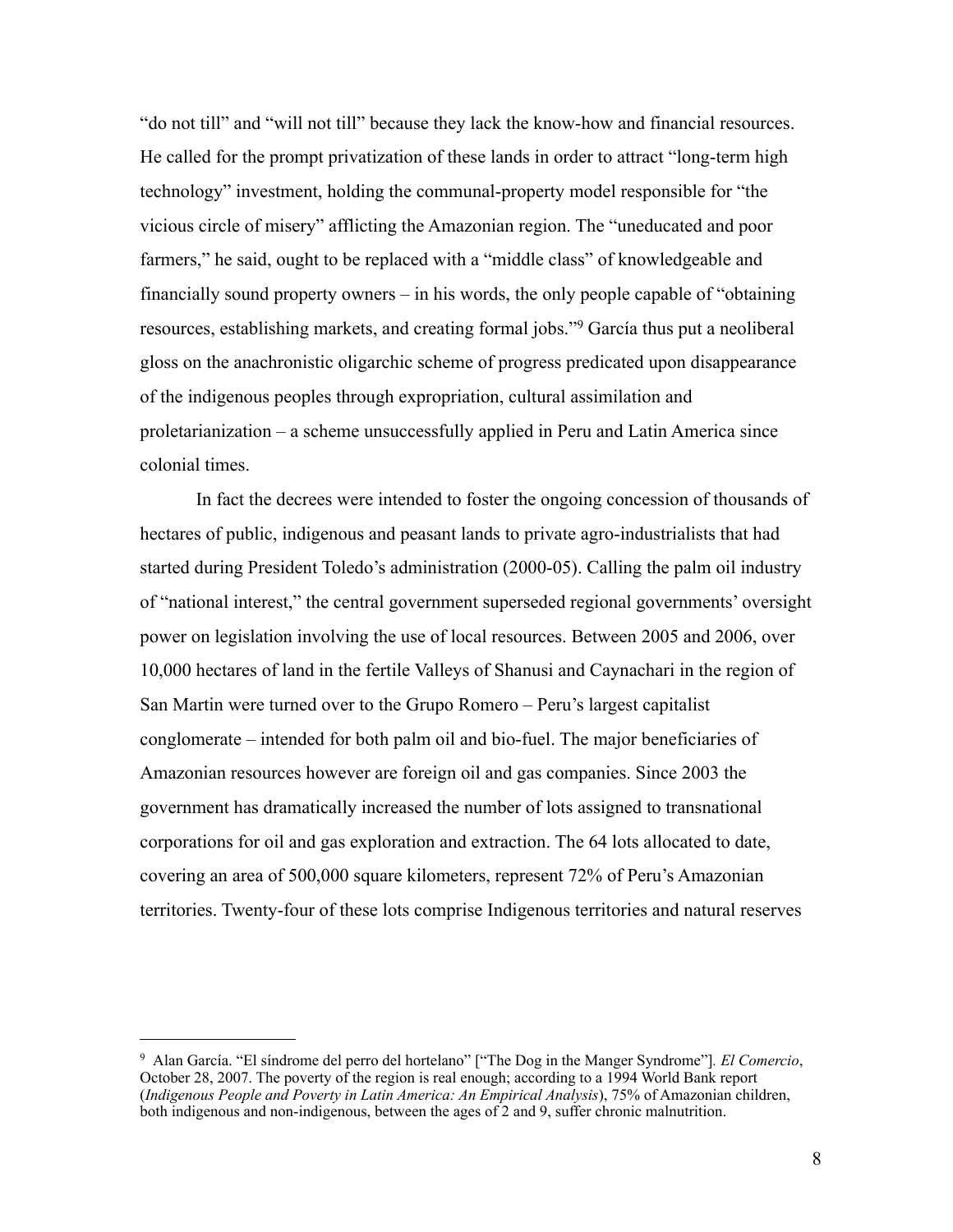"do not till" and "will not till" because they lack the know-how and financial resources. He called for the prompt privatization of these lands in order to attract "long-term high technology" investment, holding the communal-property model responsible for "the vicious circle of misery" afflicting the Amazonian region. The "uneducated and poor farmers," he said, ought to be replaced with a "middle class" of knowledgeable and financially sound property owners – in his words, the only people capable of "obtaining resources, establishing markets, and creating formal jobs."[9](#page-7-0) García thus put a neoliberal gloss on the anachronistic oligarchic scheme of progress predicated upon disappearance of the indigenous peoples through expropriation, cultural assimilation and proletarianization – a scheme unsuccessfully applied in Peru and Latin America since colonial times.

 In fact the decrees were intended to foster the ongoing concession of thousands of hectares of public, indigenous and peasant lands to private agro-industrialists that had started during President Toledo's administration (2000-05). Calling the palm oil industry of "national interest," the central government superseded regional governments' oversight power on legislation involving the use of local resources. Between 2005 and 2006, over 10,000 hectares of land in the fertile Valleys of Shanusi and Caynachari in the region of San Martin were turned over to the Grupo Romero – Peru's largest capitalist conglomerate – intended for both palm oil and bio-fuel. The major beneficiaries of Amazonian resources however are foreign oil and gas companies. Since 2003 the government has dramatically increased the number of lots assigned to transnational corporations for oil and gas exploration and extraction. The 64 lots allocated to date, covering an area of 500,000 square kilometers, represent 72% of Peru's Amazonian territories. Twenty-four of these lots comprise Indigenous territories and natural reserves

<span id="page-7-0"></span><sup>9</sup> Alan García. "El síndrome del perro del hortelano" ["The Dog in the Manger Syndrome"]*. El Comercio*, October 28, 2007. The poverty of the region is real enough; according to a 1994 World Bank report (*Indigenous People and Poverty in Latin America: An Empirical Analysis*), 75% of Amazonian children, both indigenous and non-indigenous, between the ages of 2 and 9, suffer chronic malnutrition.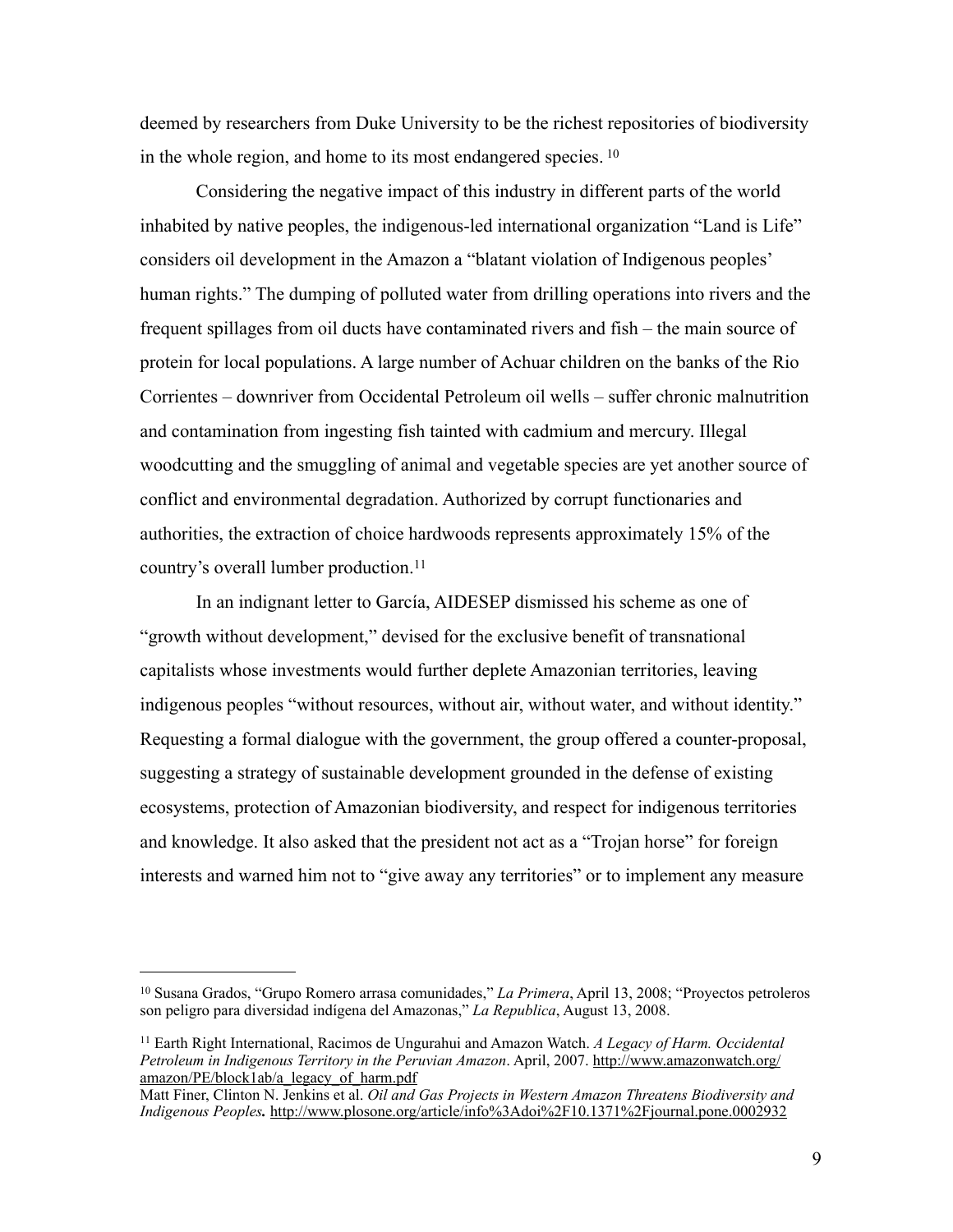deemed by researchers from Duke University to be the richest repositories of biodiversity in the whole region, and home to its most endangered species. [10](#page-8-0) 

Considering the negative impact of this industry in different parts of the world inhabited by native peoples, the indigenous-led international organization "Land is Life" considers oil development in the Amazon a "blatant violation of Indigenous peoples' human rights." The dumping of polluted water from drilling operations into rivers and the frequent spillages from oil ducts have contaminated rivers and fish – the main source of protein for local populations. A large number of Achuar children on the banks of the Rio Corrientes – downriver from Occidental Petroleum oil wells – suffer chronic malnutrition and contamination from ingesting fish tainted with cadmium and mercury. Illegal woodcutting and the smuggling of animal and vegetable species are yet another source of conflict and environmental degradation. Authorized by corrupt functionaries and authorities, the extraction of choice hardwoods represents approximately 15% of the country's overall lumber production.<sup>[11](#page-8-1)</sup>

In an indignant letter to García, AIDESEP dismissed his scheme as one of "growth without development," devised for the exclusive benefit of transnational capitalists whose investments would further deplete Amazonian territories, leaving indigenous peoples "without resources, without air, without water, and without identity." Requesting a formal dialogue with the government, the group offered a counter-proposal, suggesting a strategy of sustainable development grounded in the defense of existing ecosystems, protection of Amazonian biodiversity, and respect for indigenous territories and knowledge. It also asked that the president not act as a "Trojan horse" for foreign interests and warned him not to "give away any territories" or to implement any measure

<span id="page-8-0"></span><sup>10</sup> Susana Grados, "Grupo Romero arrasa comunidades," *La Primera*, April 13, 2008; "Proyectos petroleros son peligro para diversidad indígena del Amazonas," *La Republica*, August 13, 2008.

<span id="page-8-1"></span><sup>11</sup> Earth Right International, Racimos de Ungurahui and Amazon Watch. *A Legacy of Harm. Occidental Petroleum in Indigenous Territory in the Peruvian Amazon*. April, 2007. [http://www.amazonwatch.org/](http://www.amazonwatch.org/amazon/PE/block1ab/a_legacy_of_harm.pdf) [amazon/PE/block1ab/a\\_legacy\\_of\\_harm.pdf](http://www.amazonwatch.org/amazon/PE/block1ab/a_legacy_of_harm.pdf)

Matt Finer, Clinton N. Jenkins et al. *Oil and Gas Projects in Western Amazon Threatens Biodiversity and Indigenous Peoples.* <http://www.plosone.org/article/info%3Adoi%2F10.1371%2Fjournal.pone.0002932>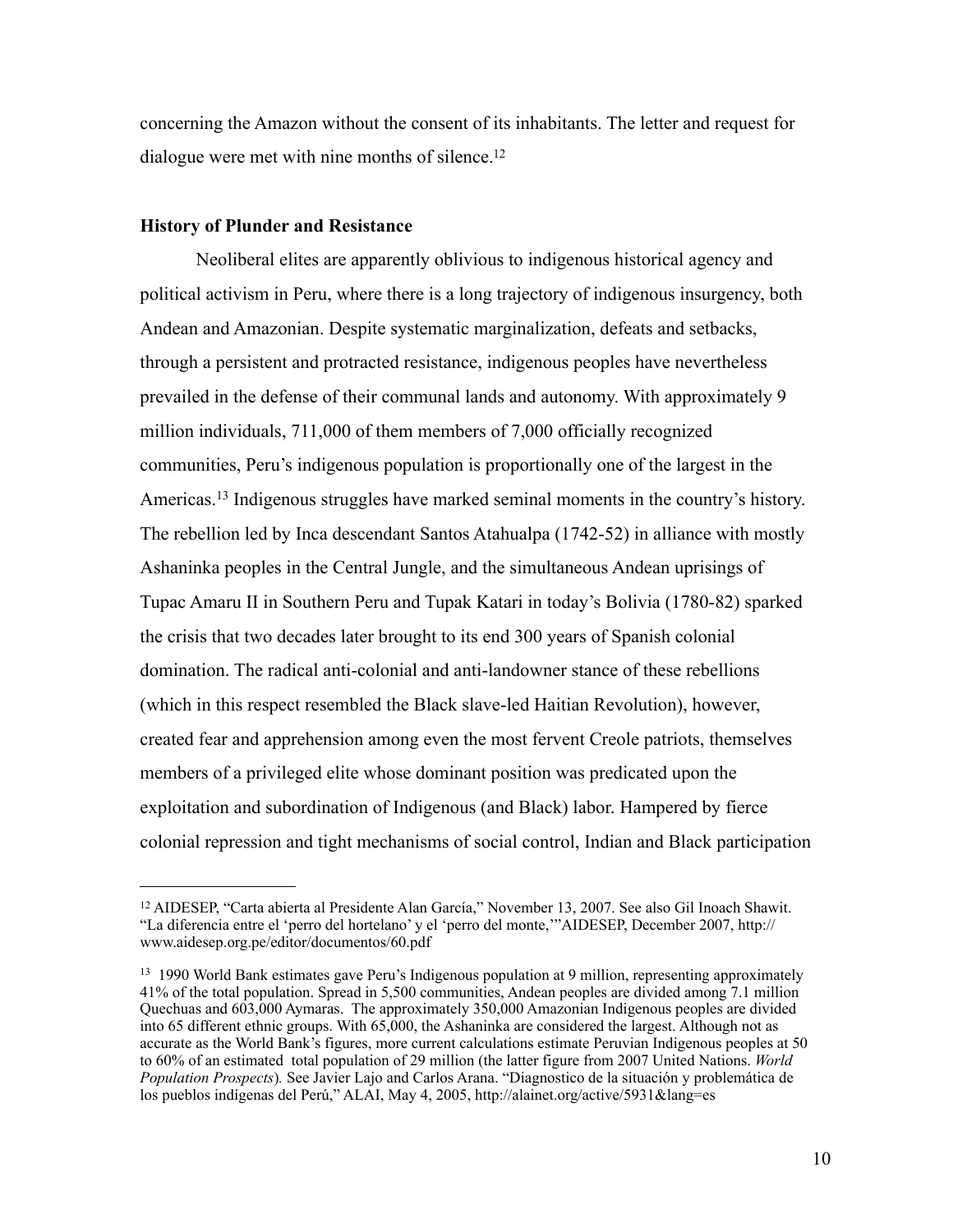concerning the Amazon without the consent of its inhabitants. The letter and request for dialogue were met with nine months of silence.<sup>12</sup>

## **History of Plunder and Resistance**

Neoliberal elites are apparently oblivious to indigenous historical agency and political activism in Peru, where there is a long trajectory of indigenous insurgency, both Andean and Amazonian. Despite systematic marginalization, defeats and setbacks, through a persistent and protracted resistance, indigenous peoples have nevertheless prevailed in the defense of their communal lands and autonomy. With approximately 9 million individuals, 711,000 of them members of 7,000 officially recognized communities, Peru's indigenous population is proportionally one of the largest in the Americas.[13](#page-9-1) Indigenous struggles have marked seminal moments in the country's history. The rebellion led by Inca descendant Santos Atahualpa (1742-52) in alliance with mostly Ashaninka peoples in the Central Jungle, and the simultaneous Andean uprisings of Tupac Amaru II in Southern Peru and Tupak Katari in today's Bolivia (1780-82) sparked the crisis that two decades later brought to its end 300 years of Spanish colonial domination. The radical anti-colonial and anti-landowner stance of these rebellions (which in this respect resembled the Black slave-led Haitian Revolution), however, created fear and apprehension among even the most fervent Creole patriots, themselves members of a privileged elite whose dominant position was predicated upon the exploitation and subordination of Indigenous (and Black) labor. Hampered by fierce colonial repression and tight mechanisms of social control, Indian and Black participation

<span id="page-9-0"></span><sup>12</sup> AIDESEP, "Carta abierta al Presidente Alan García," November 13, 2007. See also Gil Inoach Shawit. "La diferencia entre el 'perro del hortelano' y el 'perro del monte,'"AIDESEP, December 2007, http:// www.aidesep.org.pe/editor/documentos/60.pdf

<span id="page-9-1"></span><sup>13 1990</sup> World Bank estimates gave Peru's Indigenous population at 9 million, representing approximately 41% of the total population. Spread in 5,500 communities, Andean peoples are divided among 7.1 million Quechuas and 603,000 Aymaras. The approximately 350,000 Amazonian Indigenous peoples are divided into 65 different ethnic groups. With 65,000, the Ashaninka are considered the largest. Although not as accurate as the World Bank's figures, more current calculations estimate Peruvian Indigenous peoples at 50 to 60% of an estimated total population of 29 million (the latter figure from 2007 United Nations. *World Population Prospects*)*.* See Javier Lajo and Carlos Arana. "Diagnostico de la situación y problemática de los pueblos indígenas del Perú," ALAI, May 4, 2005,<http://alainet.org/active/5931&lang=es>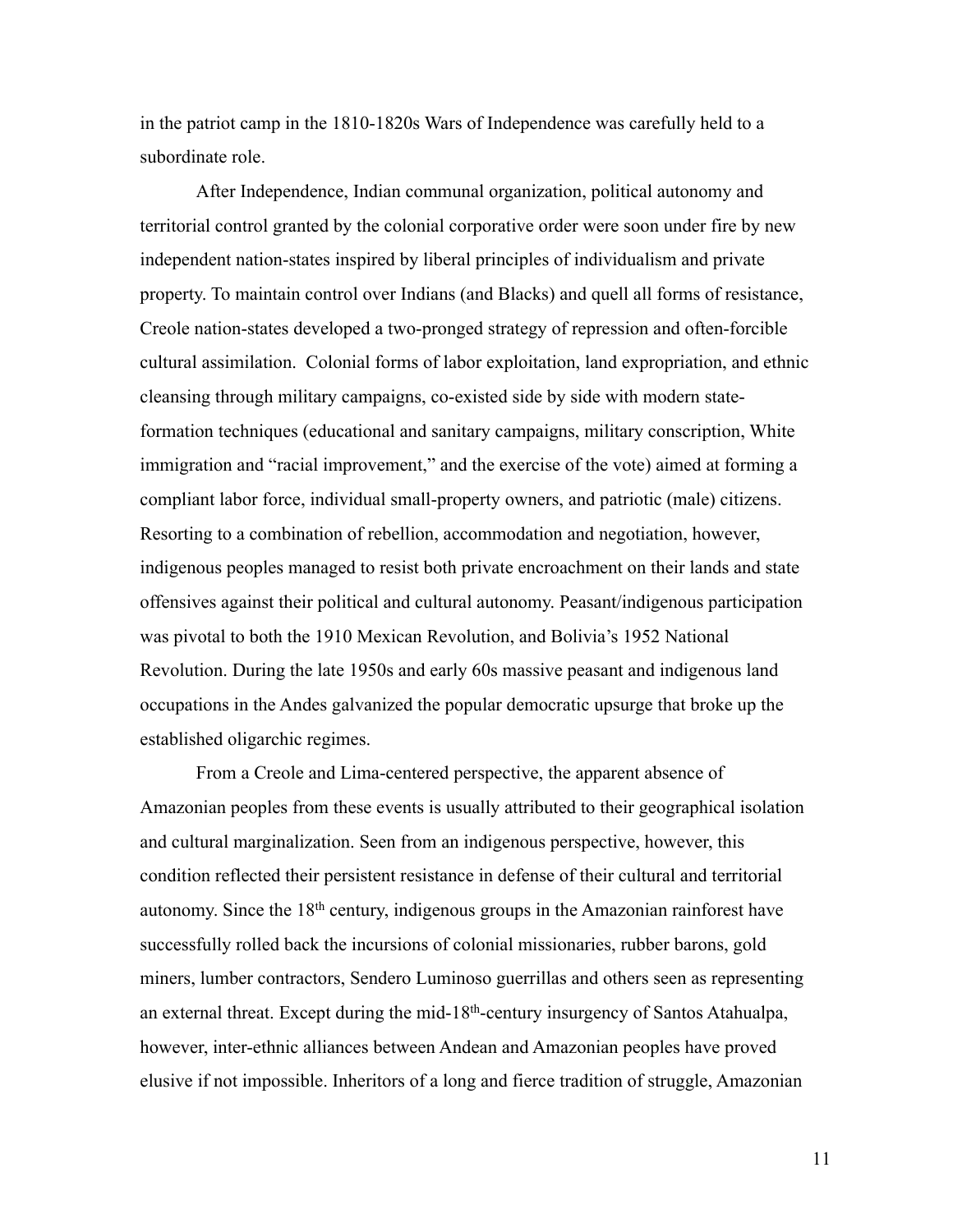in the patriot camp in the 1810-1820s Wars of Independence was carefully held to a subordinate role.

After Independence, Indian communal organization, political autonomy and territorial control granted by the colonial corporative order were soon under fire by new independent nation-states inspired by liberal principles of individualism and private property. To maintain control over Indians (and Blacks) and quell all forms of resistance, Creole nation-states developed a two-pronged strategy of repression and often-forcible cultural assimilation. Colonial forms of labor exploitation, land expropriation, and ethnic cleansing through military campaigns, co-existed side by side with modern stateformation techniques (educational and sanitary campaigns, military conscription, White immigration and "racial improvement," and the exercise of the vote) aimed at forming a compliant labor force, individual small-property owners, and patriotic (male) citizens. Resorting to a combination of rebellion, accommodation and negotiation, however, indigenous peoples managed to resist both private encroachment on their lands and state offensives against their political and cultural autonomy. Peasant/indigenous participation was pivotal to both the 1910 Mexican Revolution, and Bolivia's 1952 National Revolution. During the late 1950s and early 60s massive peasant and indigenous land occupations in the Andes galvanized the popular democratic upsurge that broke up the established oligarchic regimes.

From a Creole and Lima-centered perspective, the apparent absence of Amazonian peoples from these events is usually attributed to their geographical isolation and cultural marginalization. Seen from an indigenous perspective, however, this condition reflected their persistent resistance in defense of their cultural and territorial autonomy. Since the 18th century, indigenous groups in the Amazonian rainforest have successfully rolled back the incursions of colonial missionaries, rubber barons, gold miners, lumber contractors, Sendero Luminoso guerrillas and others seen as representing an external threat. Except during the mid-18<sup>th</sup>-century insurgency of Santos Atahualpa, however, inter-ethnic alliances between Andean and Amazonian peoples have proved elusive if not impossible. Inheritors of a long and fierce tradition of struggle, Amazonian

11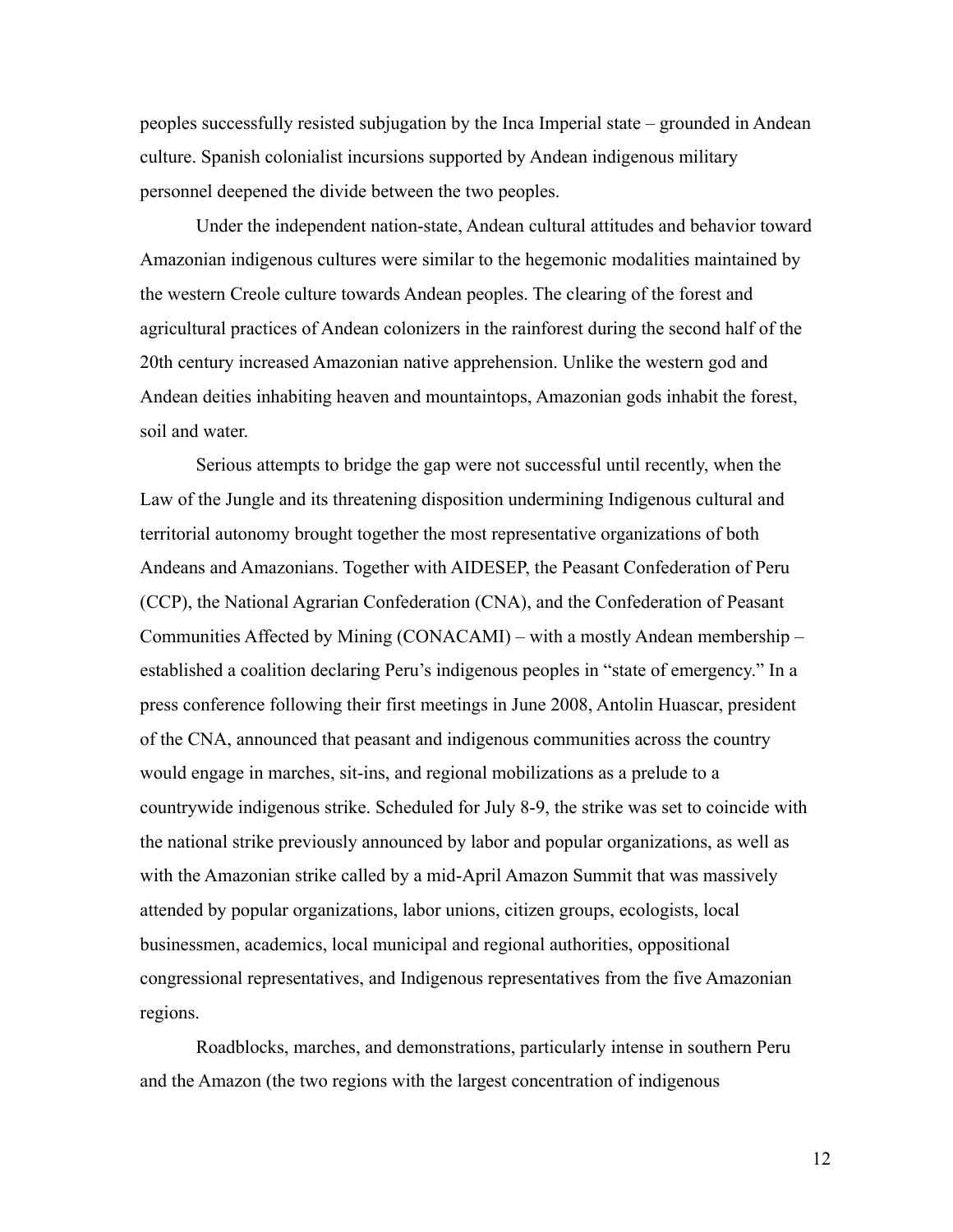peoples successfully resisted subjugation by the Inca Imperial state – grounded in Andean culture. Spanish colonialist incursions supported by Andean indigenous military personnel deepened the divide between the two peoples.

Under the independent nation-state, Andean cultural attitudes and behavior toward Amazonian indigenous cultures were similar to the hegemonic modalities maintained by the western Creole culture towards Andean peoples. The clearing of the forest and agricultural practices of Andean colonizers in the rainforest during the second half of the 20th century increased Amazonian native apprehension. Unlike the western god and Andean deities inhabiting heaven and mountaintops, Amazonian gods inhabit the forest, soil and water.

Serious attempts to bridge the gap were not successful until recently, when the Law of the Jungle and its threatening disposition undermining Indigenous cultural and territorial autonomy brought together the most representative organizations of both Andeans and Amazonians. Together with AIDESEP, the Peasant Confederation of Peru (CCP), the National Agrarian Confederation (CNA), and the Confederation of Peasant Communities Affected by Mining (CONACAMI) – with a mostly Andean membership – established a coalition declaring Peru's indigenous peoples in "state of emergency." In a press conference following their first meetings in June 2008, Antolin Huascar, president of the CNA, announced that peasant and indigenous communities across the country would engage in marches, sit-ins, and regional mobilizations as a prelude to a countrywide indigenous strike. Scheduled for July 8-9, the strike was set to coincide with the national strike previously announced by labor and popular organizations, as well as with the Amazonian strike called by a mid-April Amazon Summit that was massively attended by popular organizations, labor unions, citizen groups, ecologists, local businessmen, academics, local municipal and regional authorities, oppositional congressional representatives, and Indigenous representatives from the five Amazonian regions.

Roadblocks, marches, and demonstrations, particularly intense in southern Peru and the Amazon (the two regions with the largest concentration of indigenous

12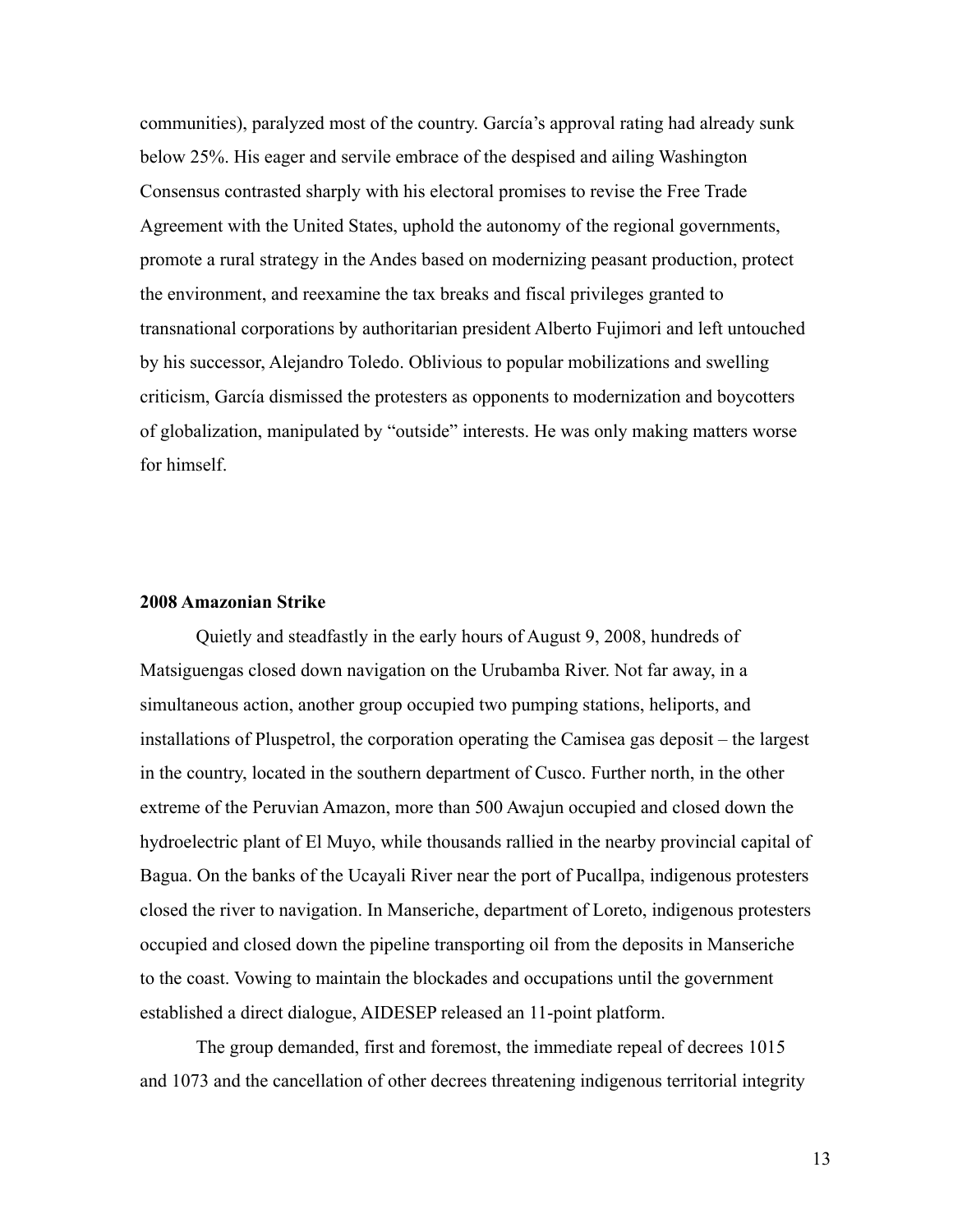communities), paralyzed most of the country. García's approval rating had already sunk below 25%. His eager and servile embrace of the despised and ailing Washington Consensus contrasted sharply with his electoral promises to revise the Free Trade Agreement with the United States, uphold the autonomy of the regional governments, promote a rural strategy in the Andes based on modernizing peasant production, protect the environment, and reexamine the tax breaks and fiscal privileges granted to transnational corporations by authoritarian president Alberto Fujimori and left untouched by his successor, Alejandro Toledo. Oblivious to popular mobilizations and swelling criticism, García dismissed the protesters as opponents to modernization and boycotters of globalization, manipulated by "outside" interests. He was only making matters worse for himself.

#### **2008 Amazonian Strike**

 Quietly and steadfastly in the early hours of August 9, 2008, hundreds of Matsiguengas closed down navigation on the Urubamba River. Not far away, in a simultaneous action, another group occupied two pumping stations, heliports, and installations of Pluspetrol, the corporation operating the Camisea gas deposit – the largest in the country, located in the southern department of Cusco. Further north, in the other extreme of the Peruvian Amazon, more than 500 Awajun occupied and closed down the hydroelectric plant of El Muyo, while thousands rallied in the nearby provincial capital of Bagua. On the banks of the Ucayali River near the port of Pucallpa, indigenous protesters closed the river to navigation. In Manseriche, department of Loreto, indigenous protesters occupied and closed down the pipeline transporting oil from the deposits in Manseriche to the coast. Vowing to maintain the blockades and occupations until the government established a direct dialogue, AIDESEP released an 11-point platform.

The group demanded, first and foremost, the immediate repeal of decrees 1015 and 1073 and the cancellation of other decrees threatening indigenous territorial integrity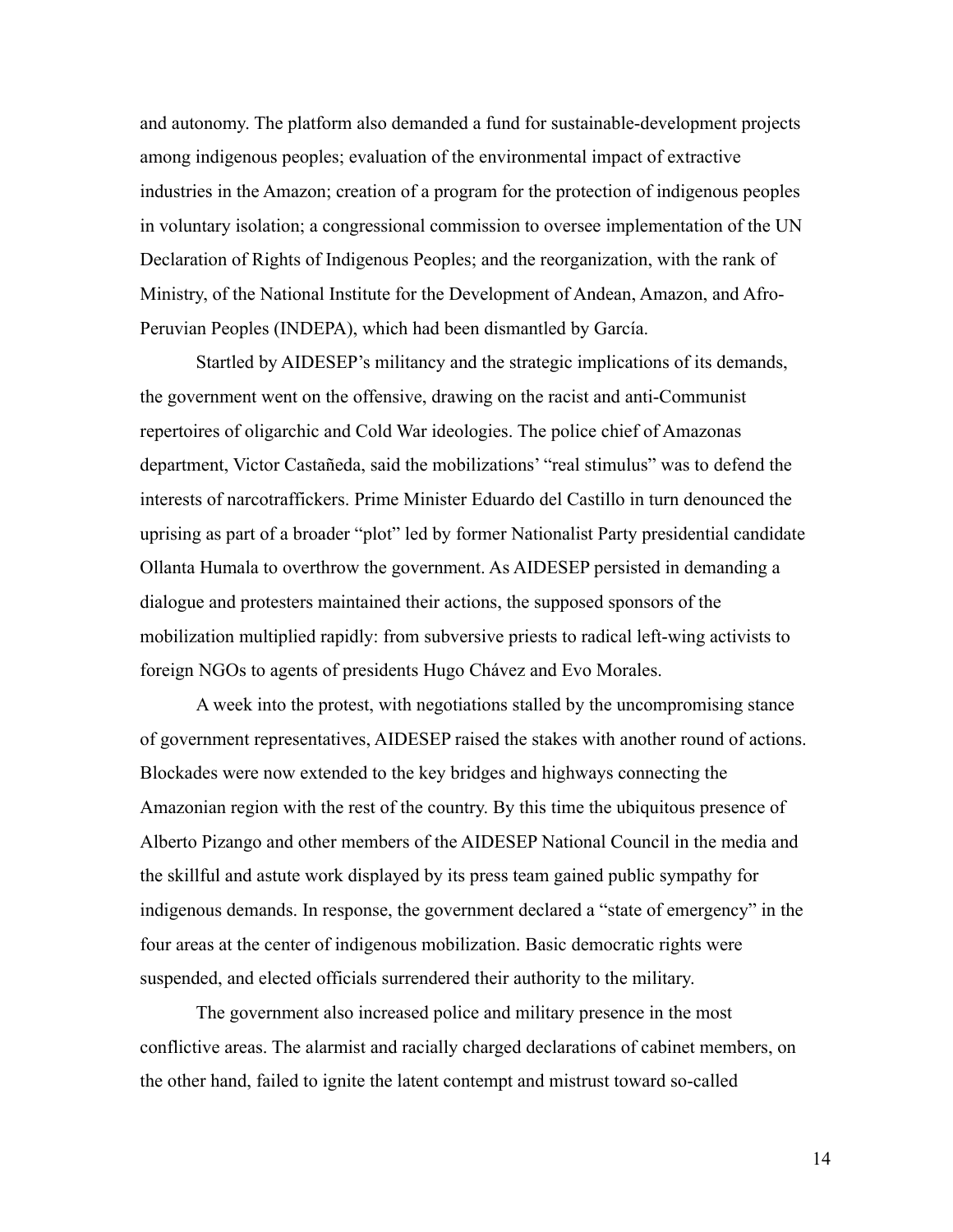and autonomy. The platform also demanded a fund for sustainable-development projects among indigenous peoples; evaluation of the environmental impact of extractive industries in the Amazon; creation of a program for the protection of indigenous peoples in voluntary isolation; a congressional commission to oversee implementation of the UN Declaration of Rights of Indigenous Peoples; and the reorganization, with the rank of Ministry, of the National Institute for the Development of Andean, Amazon, and Afro-Peruvian Peoples (INDEPA), which had been dismantled by García.

Startled by AIDESEP's militancy and the strategic implications of its demands, the government went on the offensive, drawing on the racist and anti-Communist repertoires of oligarchic and Cold War ideologies. The police chief of Amazonas department, Victor Castañeda, said the mobilizations' "real stimulus" was to defend the interests of narcotraffickers. Prime Minister Eduardo del Castillo in turn denounced the uprising as part of a broader "plot" led by former Nationalist Party presidential candidate Ollanta Humala to overthrow the government. As AIDESEP persisted in demanding a dialogue and protesters maintained their actions, the supposed sponsors of the mobilization multiplied rapidly: from subversive priests to radical left-wing activists to foreign NGOs to agents of presidents Hugo Chávez and Evo Morales.

A week into the protest, with negotiations stalled by the uncompromising stance of government representatives, AIDESEP raised the stakes with another round of actions. Blockades were now extended to the key bridges and highways connecting the Amazonian region with the rest of the country. By this time the ubiquitous presence of Alberto Pizango and other members of the AIDESEP National Council in the media and the skillful and astute work displayed by its press team gained public sympathy for indigenous demands. In response, the government declared a "state of emergency" in the four areas at the center of indigenous mobilization. Basic democratic rights were suspended, and elected officials surrendered their authority to the military.

The government also increased police and military presence in the most conflictive areas. The alarmist and racially charged declarations of cabinet members, on the other hand, failed to ignite the latent contempt and mistrust toward so-called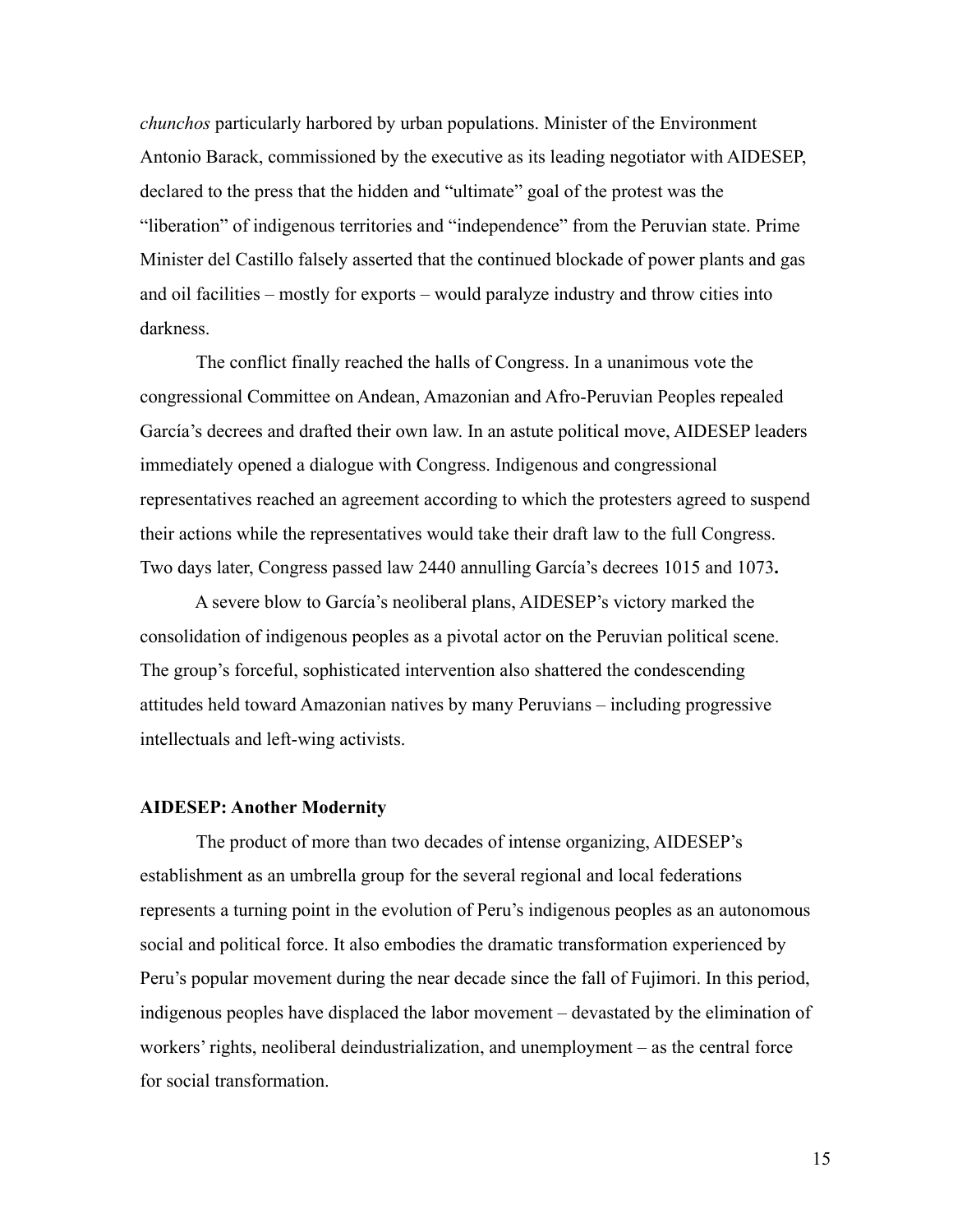*chunchos* particularly harbored by urban populations. Minister of the Environment Antonio Barack, commissioned by the executive as its leading negotiator with AIDESEP, declared to the press that the hidden and "ultimate" goal of the protest was the "liberation" of indigenous territories and "independence" from the Peruvian state. Prime Minister del Castillo falsely asserted that the continued blockade of power plants and gas and oil facilities – mostly for exports – would paralyze industry and throw cities into darkness.

The conflict finally reached the halls of Congress. In a unanimous vote the congressional Committee on Andean, Amazonian and Afro-Peruvian Peoples repealed García's decrees and drafted their own law. In an astute political move, AIDESEP leaders immediately opened a dialogue with Congress. Indigenous and congressional representatives reached an agreement according to which the protesters agreed to suspend their actions while the representatives would take their draft law to the full Congress. Two days later, Congress passed law 2440 annulling García's decrees 1015 and 1073**.** 

 A severe blow to García's neoliberal plans, AIDESEP's victory marked the consolidation of indigenous peoples as a pivotal actor on the Peruvian political scene. The group's forceful, sophisticated intervention also shattered the condescending attitudes held toward Amazonian natives by many Peruvians – including progressive intellectuals and left-wing activists.

#### **AIDESEP: Another Modernity**

The product of more than two decades of intense organizing, AIDESEP's establishment as an umbrella group for the several regional and local federations represents a turning point in the evolution of Peru's indigenous peoples as an autonomous social and political force. It also embodies the dramatic transformation experienced by Peru's popular movement during the near decade since the fall of Fujimori. In this period, indigenous peoples have displaced the labor movement – devastated by the elimination of workers' rights, neoliberal deindustrialization, and unemployment – as the central force for social transformation.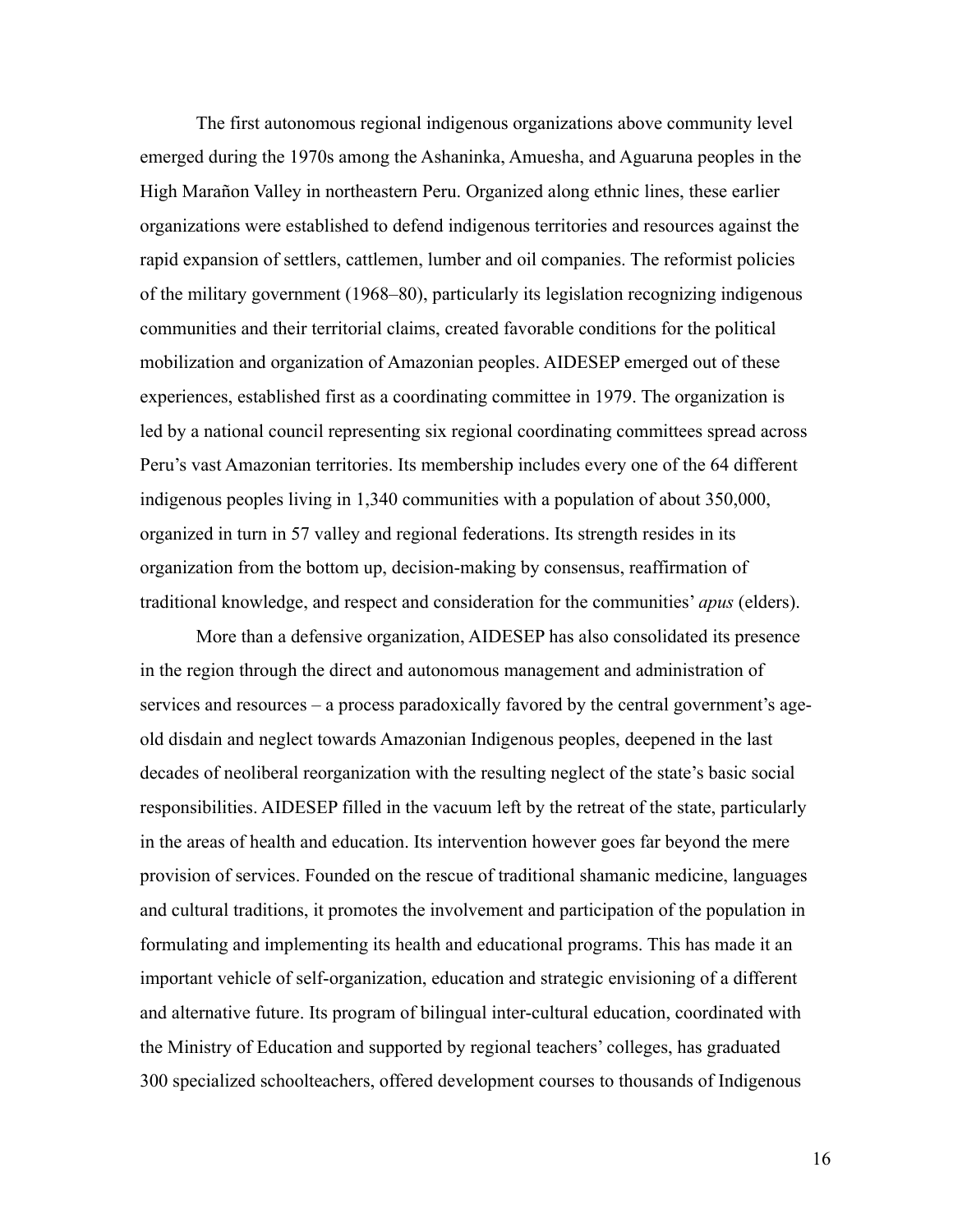The first autonomous regional indigenous organizations above community level emerged during the 1970s among the Ashaninka, Amuesha, and Aguaruna peoples in the High Marañon Valley in northeastern Peru. Organized along ethnic lines, these earlier organizations were established to defend indigenous territories and resources against the rapid expansion of settlers, cattlemen, lumber and oil companies. The reformist policies of the military government (1968–80), particularly its legislation recognizing indigenous communities and their territorial claims, created favorable conditions for the political mobilization and organization of Amazonian peoples. AIDESEP emerged out of these experiences, established first as a coordinating committee in 1979. The organization is led by a national council representing six regional coordinating committees spread across Peru's vast Amazonian territories. Its membership includes every one of the 64 different indigenous peoples living in 1,340 communities with a population of about 350,000, organized in turn in 57 valley and regional federations. Its strength resides in its organization from the bottom up, decision-making by consensus, reaffirmation of traditional knowledge, and respect and consideration for the communities' *apus* (elders).

 More than a defensive organization, AIDESEP has also consolidated its presence in the region through the direct and autonomous management and administration of services and resources – a process paradoxically favored by the central government's ageold disdain and neglect towards Amazonian Indigenous peoples, deepened in the last decades of neoliberal reorganization with the resulting neglect of the state's basic social responsibilities. AIDESEP filled in the vacuum left by the retreat of the state, particularly in the areas of health and education. Its intervention however goes far beyond the mere provision of services. Founded on the rescue of traditional shamanic medicine, languages and cultural traditions, it promotes the involvement and participation of the population in formulating and implementing its health and educational programs. This has made it an important vehicle of self-organization, education and strategic envisioning of a different and alternative future. Its program of bilingual inter-cultural education, coordinated with the Ministry of Education and supported by regional teachers' colleges, has graduated 300 specialized schoolteachers, offered development courses to thousands of Indigenous

16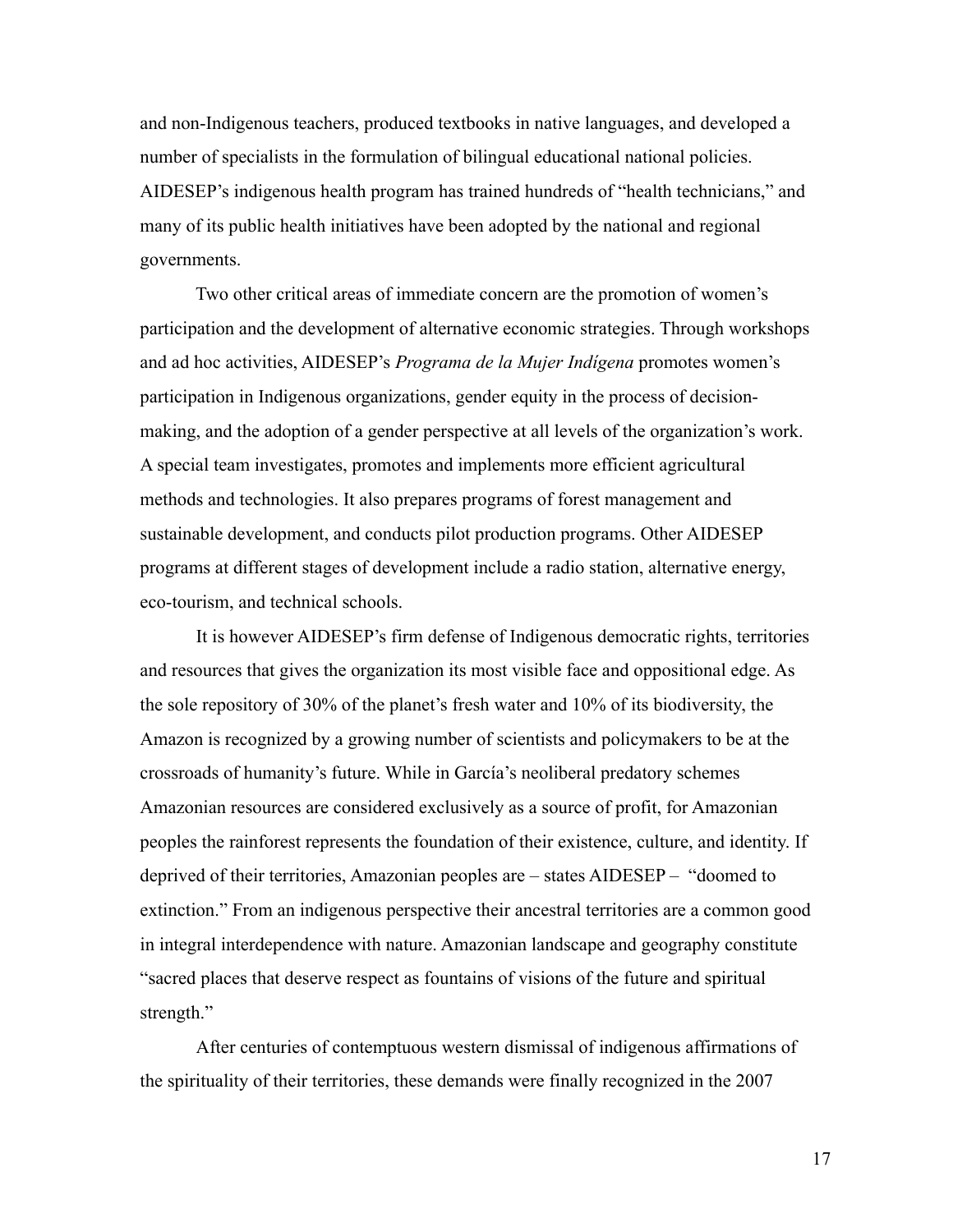and non-Indigenous teachers, produced textbooks in native languages, and developed a number of specialists in the formulation of bilingual educational national policies. AIDESEP's indigenous health program has trained hundreds of "health technicians," and many of its public health initiatives have been adopted by the national and regional governments.

 Two other critical areas of immediate concern are the promotion of women's participation and the development of alternative economic strategies. Through workshops and ad hoc activities, AIDESEP's *Programa de la Mujer Indígena* promotes women's participation in Indigenous organizations, gender equity in the process of decisionmaking, and the adoption of a gender perspective at all levels of the organization's work. A special team investigates, promotes and implements more efficient agricultural methods and technologies. It also prepares programs of forest management and sustainable development, and conducts pilot production programs. Other AIDESEP programs at different stages of development include a radio station, alternative energy, eco-tourism, and technical schools.

 It is however AIDESEP's firm defense of Indigenous democratic rights, territories and resources that gives the organization its most visible face and oppositional edge. As the sole repository of 30% of the planet's fresh water and 10% of its biodiversity, the Amazon is recognized by a growing number of scientists and policymakers to be at the crossroads of humanity's future. While in García's neoliberal predatory schemes Amazonian resources are considered exclusively as a source of profit, for Amazonian peoples the rainforest represents the foundation of their existence, culture, and identity. If deprived of their territories, Amazonian peoples are – states AIDESEP – "doomed to extinction." From an indigenous perspective their ancestral territories are a common good in integral interdependence with nature. Amazonian landscape and geography constitute "sacred places that deserve respect as fountains of visions of the future and spiritual strength."

After centuries of contemptuous western dismissal of indigenous affirmations of the spirituality of their territories, these demands were finally recognized in the 2007

17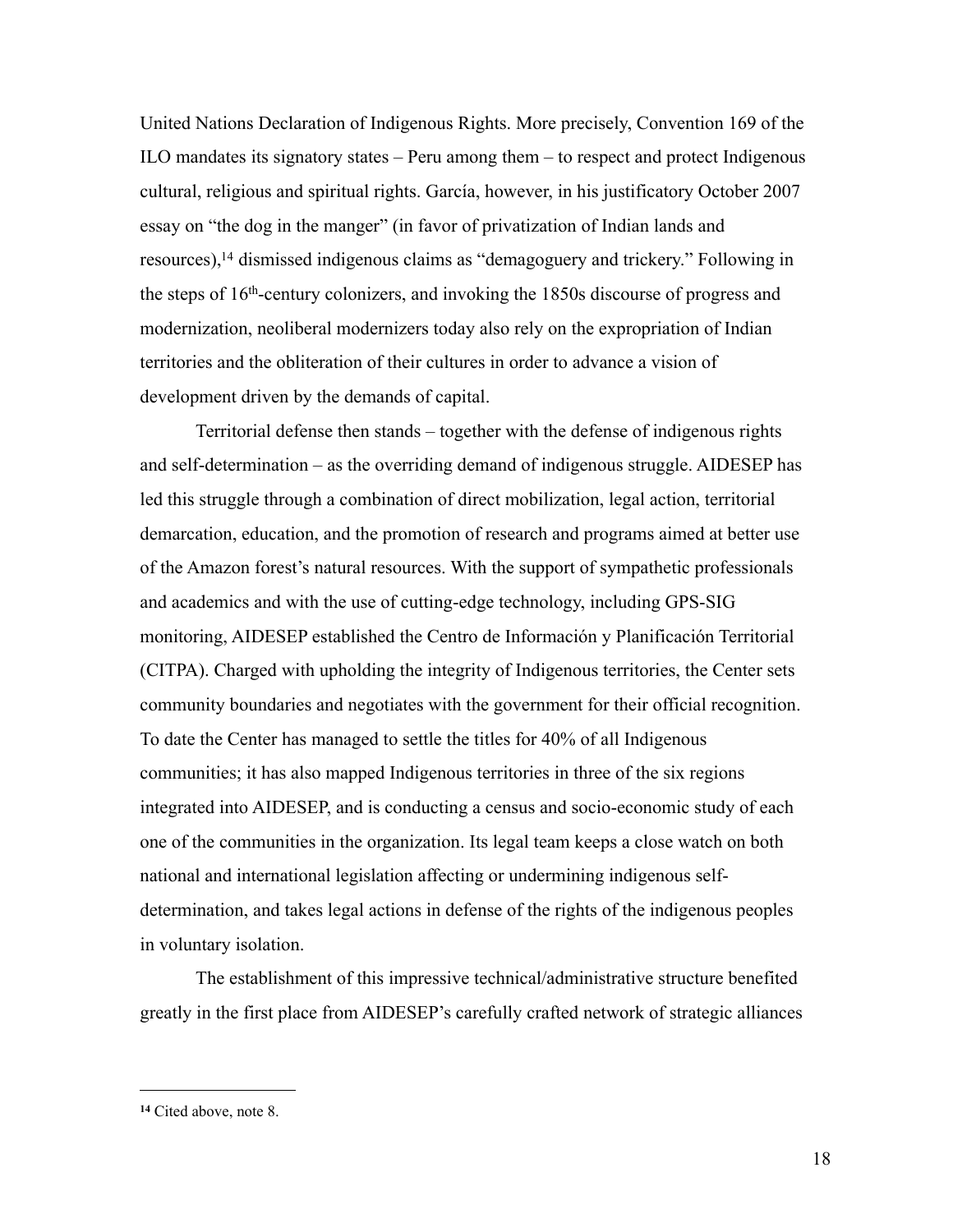United Nations Declaration of Indigenous Rights. More precisely, Convention 169 of the ILO mandates its signatory states – Peru among them – to respect and protect Indigenous cultural, religious and spiritual rights. García, however, in his justificatory October 2007 essay on "the dog in the manger" (in favor of privatization of Indian lands and resources)[,14](#page-17-0) dismissed indigenous claims as "demagoguery and trickery." Following in the steps of 16th-century colonizers, and invoking the 1850s discourse of progress and modernization, neoliberal modernizers today also rely on the expropriation of Indian territories and the obliteration of their cultures in order to advance a vision of development driven by the demands of capital.

 Territorial defense then stands – together with the defense of indigenous rights and self-determination – as the overriding demand of indigenous struggle. AIDESEP has led this struggle through a combination of direct mobilization, legal action, territorial demarcation, education, and the promotion of research and programs aimed at better use of the Amazon forest's natural resources. With the support of sympathetic professionals and academics and with the use of cutting-edge technology, including GPS-SIG monitoring, AIDESEP established the Centro de Información y Planificación Territorial (CITPA). Charged with upholding the integrity of Indigenous territories, the Center sets community boundaries and negotiates with the government for their official recognition. To date the Center has managed to settle the titles for 40% of all Indigenous communities; it has also mapped Indigenous territories in three of the six regions integrated into AIDESEP, and is conducting a census and socio-economic study of each one of the communities in the organization. Its legal team keeps a close watch on both national and international legislation affecting or undermining indigenous selfdetermination, and takes legal actions in defense of the rights of the indigenous peoples in voluntary isolation.

 The establishment of this impressive technical/administrative structure benefited greatly in the first place from AIDESEP's carefully crafted network of strategic alliances

<span id="page-17-0"></span>**<sup>14</sup>** Cited above, note 8.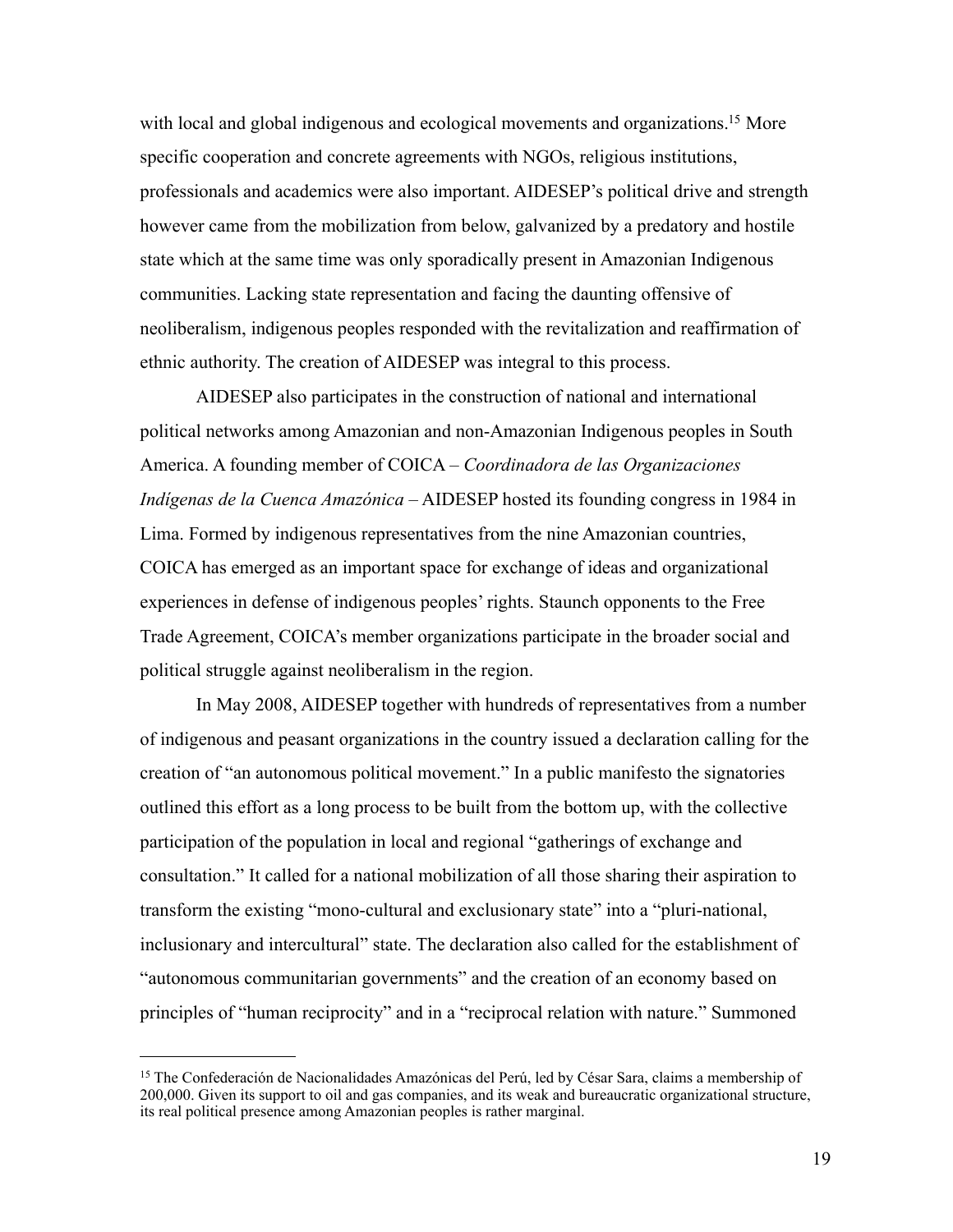with local and global indigenous and ecological movements and organizations.<sup>15</sup> More specific cooperation and concrete agreements with NGOs, religious institutions, professionals and academics were also important. AIDESEP's political drive and strength however came from the mobilization from below, galvanized by a predatory and hostile state which at the same time was only sporadically present in Amazonian Indigenous communities. Lacking state representation and facing the daunting offensive of neoliberalism, indigenous peoples responded with the revitalization and reaffirmation of ethnic authority. The creation of AIDESEP was integral to this process.

AIDESEP also participates in the construction of national and international political networks among Amazonian and non-Amazonian Indigenous peoples in South America. A founding member of COICA – *Coordinadora de las Organizaciones Indígenas de la Cuenca Amazónica* – AIDESEP hosted its founding congress in 1984 in Lima. Formed by indigenous representatives from the nine Amazonian countries, COICA has emerged as an important space for exchange of ideas and organizational experiences in defense of indigenous peoples' rights. Staunch opponents to the Free Trade Agreement, COICA's member organizations participate in the broader social and political struggle against neoliberalism in the region.

 In May 2008, AIDESEP together with hundreds of representatives from a number of indigenous and peasant organizations in the country issued a declaration calling for the creation of "an autonomous political movement." In a public manifesto the signatories outlined this effort as a long process to be built from the bottom up, with the collective participation of the population in local and regional "gatherings of exchange and consultation." It called for a national mobilization of all those sharing their aspiration to transform the existing "mono-cultural and exclusionary state" into a "pluri-national, inclusionary and intercultural" state. The declaration also called for the establishment of "autonomous communitarian governments" and the creation of an economy based on principles of "human reciprocity" and in a "reciprocal relation with nature." Summoned

<span id="page-18-0"></span><sup>&</sup>lt;sup>15</sup> The Confederación de Nacionalidades Amazónicas del Perú, led by César Sara, claims a membership of 200,000. Given its support to oil and gas companies, and its weak and bureaucratic organizational structure, its real political presence among Amazonian peoples is rather marginal.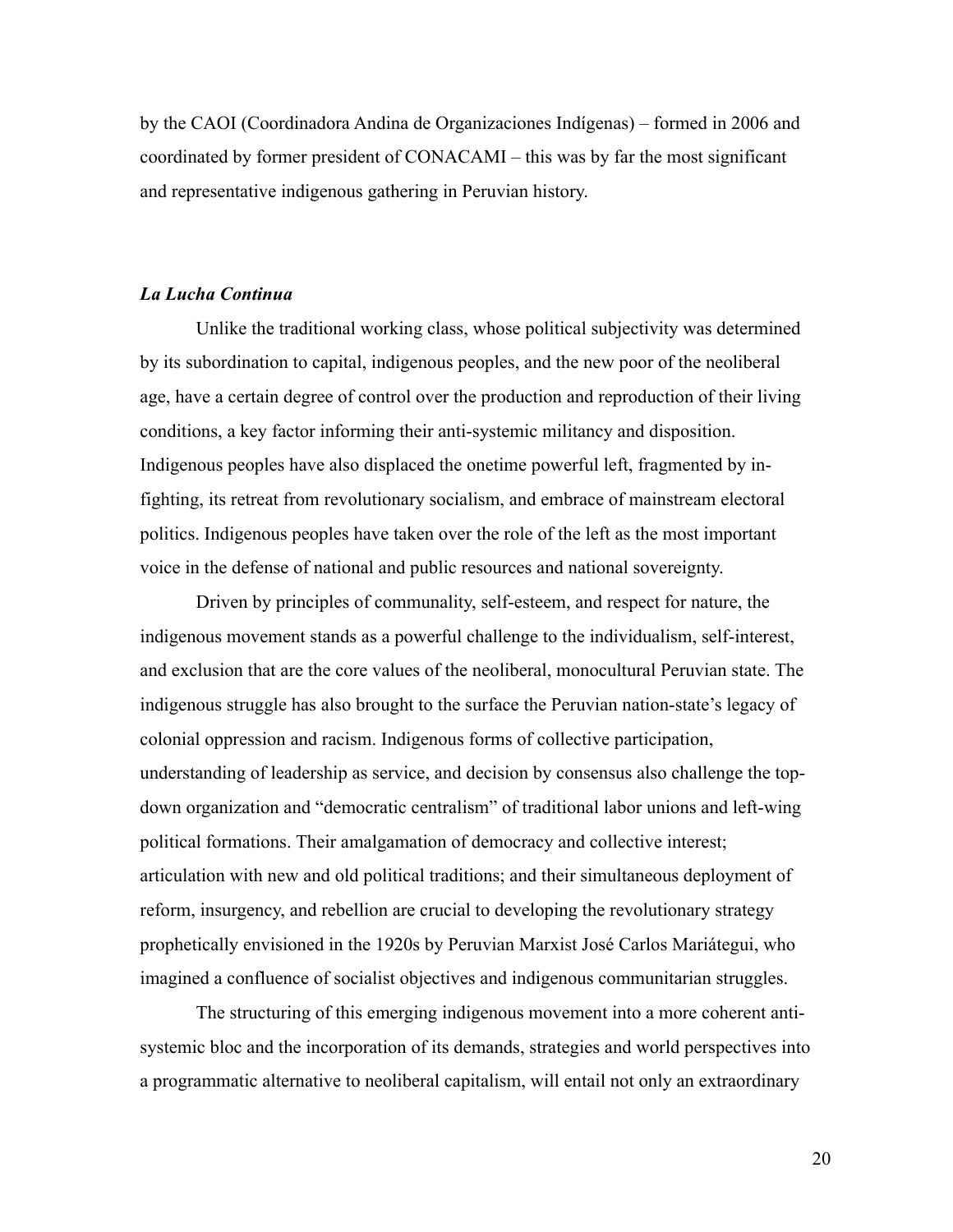by the CAOI (Coordinadora Andina de Organizaciones Indígenas) – formed in 2006 and coordinated by former president of CONACAMI – this was by far the most significant and representative indigenous gathering in Peruvian history.

## *La Lucha Continua*

 Unlike the traditional working class, whose political subjectivity was determined by its subordination to capital, indigenous peoples, and the new poor of the neoliberal age, have a certain degree of control over the production and reproduction of their living conditions, a key factor informing their anti-systemic militancy and disposition. Indigenous peoples have also displaced the onetime powerful left, fragmented by infighting, its retreat from revolutionary socialism, and embrace of mainstream electoral politics. Indigenous peoples have taken over the role of the left as the most important voice in the defense of national and public resources and national sovereignty.

Driven by principles of communality, self-esteem, and respect for nature, the indigenous movement stands as a powerful challenge to the individualism, self-interest, and exclusion that are the core values of the neoliberal, monocultural Peruvian state. The indigenous struggle has also brought to the surface the Peruvian nation-state's legacy of colonial oppression and racism. Indigenous forms of collective participation, understanding of leadership as service, and decision by consensus also challenge the topdown organization and "democratic centralism" of traditional labor unions and left-wing political formations. Their amalgamation of democracy and collective interest; articulation with new and old political traditions; and their simultaneous deployment of reform, insurgency, and rebellion are crucial to developing the revolutionary strategy prophetically envisioned in the 1920s by Peruvian Marxist José Carlos Mariátegui, who imagined a confluence of socialist objectives and indigenous communitarian struggles.

The structuring of this emerging indigenous movement into a more coherent antisystemic bloc and the incorporation of its demands, strategies and world perspectives into a programmatic alternative to neoliberal capitalism, will entail not only an extraordinary